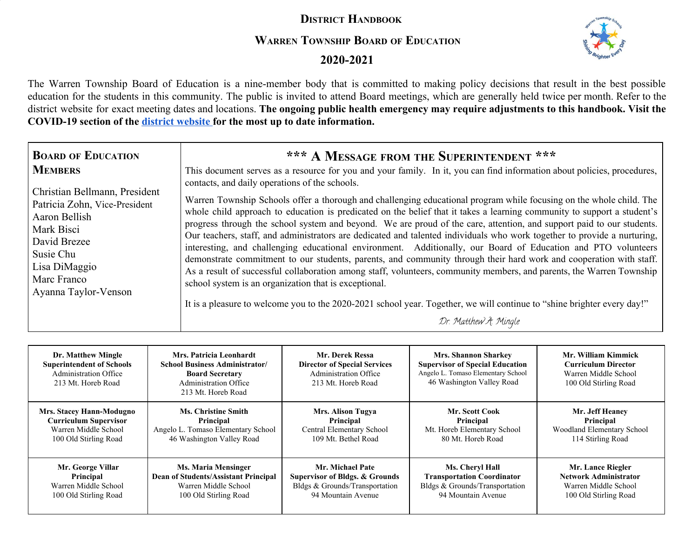# **DISTRICT HANDBOOK**

## **WARREN TOWNSHIP BOARD OF EDUCATION**



 **2020-2021**

The Warren Township Board of Education is a nine-member body that is committed to making policy decisions that result in the best possible education for the students in this community. The public is invited to attend Board meetings, which are generally held twice per month. Refer to the district website for exact meeting dates and locations. The ongoing public health emergency may require adjustments to this handbook. Visit the **COVID-19 section of the [district website f](https://www.warrentboe.org/)or the most up to date information.**

| <b>BOARD OF EDUCATION</b><br><b>MEMBERS</b><br>Christian Bellmann, President<br>Patricia Zohn, Vice-President<br>Aaron Bellish<br>Mark Bisci<br>David Brezee<br>Susie Chu<br>Lisa DiMaggio<br>Marc Franco | *** A MESSAGE FROM THE SUPERINTENDENT ***<br>This document serves as a resource for you and your family. In it, you can find information about policies, procedures,<br>contacts, and daily operations of the schools.<br>Warren Township Schools offer a thorough and challenging educational program while focusing on the whole child. The<br>whole child approach to education is predicated on the belief that it takes a learning community to support a student's<br>progress through the school system and beyond. We are proud of the care, attention, and support paid to our students.<br>Our teachers, staff, and administrators are dedicated and talented individuals who work together to provide a nurturing,<br>interesting, and challenging educational environment. Additionally, our Board of Education and PTO volunteers<br>demonstrate commitment to our students, parents, and community through their hard work and cooperation with staff.<br>As a result of successful collaboration among staff, volunteers, community members, and parents, the Warren Township |
|-----------------------------------------------------------------------------------------------------------------------------------------------------------------------------------------------------------|----------------------------------------------------------------------------------------------------------------------------------------------------------------------------------------------------------------------------------------------------------------------------------------------------------------------------------------------------------------------------------------------------------------------------------------------------------------------------------------------------------------------------------------------------------------------------------------------------------------------------------------------------------------------------------------------------------------------------------------------------------------------------------------------------------------------------------------------------------------------------------------------------------------------------------------------------------------------------------------------------------------------------------------------------------------------------------------------|
| Ayanna Taylor-Venson                                                                                                                                                                                      | school system is an organization that is exceptional.                                                                                                                                                                                                                                                                                                                                                                                                                                                                                                                                                                                                                                                                                                                                                                                                                                                                                                                                                                                                                                        |
|                                                                                                                                                                                                           | It is a pleasure to welcome you to the 2020-2021 school year. Together, we will continue to "shine brighter every day!"                                                                                                                                                                                                                                                                                                                                                                                                                                                                                                                                                                                                                                                                                                                                                                                                                                                                                                                                                                      |
|                                                                                                                                                                                                           | Dr. Matthew A. Mingle                                                                                                                                                                                                                                                                                                                                                                                                                                                                                                                                                                                                                                                                                                                                                                                                                                                                                                                                                                                                                                                                        |

| Dr. Matthew Mingle<br><b>Superintendent of Schools</b><br><b>Administration Office</b><br>213 Mt. Horeb Road | Mrs. Patricia Leonhardt<br><b>School Business Administrator/</b><br><b>Board Secretary</b><br><b>Administration Office</b><br>213 Mt. Horeb Road | Mr. Derek Ressa<br><b>Director of Special Services</b><br><b>Administration Office</b><br>213 Mt. Horeb Road | <b>Mrs. Shannon Sharkey</b><br><b>Supervisor of Special Education</b><br>Angelo L. Tomaso Elementary School<br>46 Washington Valley Road | Mr. William Kimmick<br><b>Curriculum Director</b><br>Warren Middle School<br>100 Old Stirling Road |
|--------------------------------------------------------------------------------------------------------------|--------------------------------------------------------------------------------------------------------------------------------------------------|--------------------------------------------------------------------------------------------------------------|------------------------------------------------------------------------------------------------------------------------------------------|----------------------------------------------------------------------------------------------------|
| Mrs. Stacey Hann-Modugno                                                                                     | <b>Ms. Christine Smith</b>                                                                                                                       | <b>Mrs. Alison Tugya</b>                                                                                     | Mr. Scott Cook                                                                                                                           | Mr. Jeff Heaney                                                                                    |
| <b>Curriculum Supervisor</b>                                                                                 | Principal                                                                                                                                        | Principal                                                                                                    | Principal                                                                                                                                | Principal                                                                                          |
| Warren Middle School                                                                                         | Angelo L. Tomaso Elementary School                                                                                                               | Central Elementary School                                                                                    | Mt. Horeb Elementary School                                                                                                              | Woodland Elementary School                                                                         |
| 100 Old Stirling Road                                                                                        | 46 Washington Valley Road                                                                                                                        | 109 Mt. Bethel Road                                                                                          | 80 Mt. Horeb Road                                                                                                                        | 114 Stirling Road                                                                                  |
| Mr. George Villar                                                                                            | <b>Ms. Maria Mensinger</b>                                                                                                                       | Mr. Michael Pate                                                                                             | Ms. Cheryl Hall                                                                                                                          | Mr. Lance Riegler                                                                                  |
| Principal                                                                                                    | Dean of Students/Assistant Principal                                                                                                             | <b>Supervisor of Bldgs. &amp; Grounds</b>                                                                    | <b>Transportation Coordinator</b>                                                                                                        | <b>Network Administrator</b>                                                                       |
| Warren Middle School                                                                                         | Warren Middle School                                                                                                                             | Bldgs & Grounds/Transportation                                                                               | Bldgs & Grounds/Transportation                                                                                                           | Warren Middle School                                                                               |
| 100 Old Stirling Road                                                                                        | 100 Old Stirling Road                                                                                                                            | 94 Mountain Avenue                                                                                           | 94 Mountain Avenue                                                                                                                       | 100 Old Stirling Road                                                                              |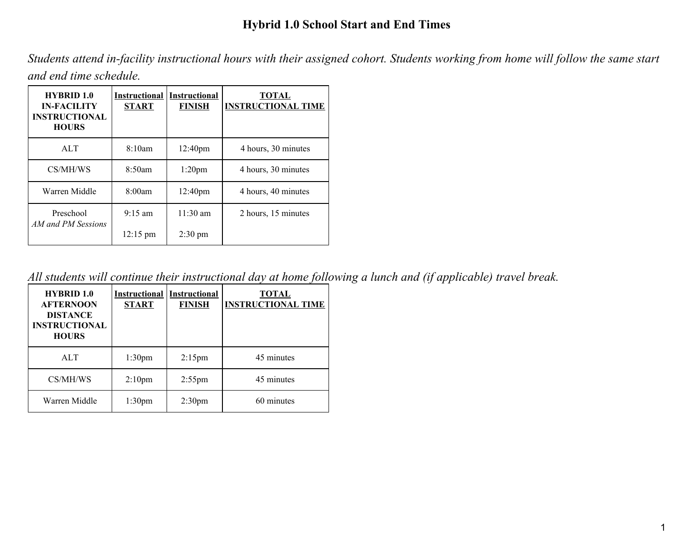# **Hybrid 1.0 School Start and End Times**

Students attend in-facility instructional hours with their assigned cohort. Students working from home will follow the same start *and end time schedule.*

| <b>HYBRID 1.0</b><br><b>IN-FACILITY</b><br><b>INSTRUCTIONAL</b><br><b>HOURS</b> | <b>Instructional</b><br><b>START</b> | <b>Instructional</b><br><b>FINISH</b> | <b>TOTAL</b><br><b>INSTRUCTIONAL TIME</b> |
|---------------------------------------------------------------------------------|--------------------------------------|---------------------------------------|-------------------------------------------|
| ATT                                                                             | 8:10am                               | 12:40 <sub>pm</sub>                   | 4 hours, 30 minutes                       |
| CS/MH/WS                                                                        | 8:50am                               | $1:20$ pm                             | 4 hours, 30 minutes                       |
| Warren Middle                                                                   | 8:00am                               | 12:40 <sub>pm</sub>                   | 4 hours, 40 minutes                       |
| Preschool<br>AM and PM Sessions                                                 | $9:15 \text{ am}$                    | $11:30$ am                            | 2 hours, 15 minutes                       |
|                                                                                 | $12:15 \text{ pm}$                   | $2:30 \text{ pm}$                     |                                           |

All students will continue their instructional day at home following a lunch and (if applicable) travel break.

| <b>HYBRID 1.0</b><br><b>AFTERNOON</b><br><b>DISTANCE</b><br><b>INSTRUCTIONAL</b><br><b>HOURS</b> | <b>Instructional</b><br><b>START</b> | <b>Instructional</b><br><b>FINISH</b> | <b>TOTAL</b><br><b>INSTRUCTIONAL TIME</b> |
|--------------------------------------------------------------------------------------------------|--------------------------------------|---------------------------------------|-------------------------------------------|
| <b>ALT</b>                                                                                       | 1:30 <sub>pm</sub>                   | $2:15$ pm                             | 45 minutes                                |
| CS/MH/WS                                                                                         | 2:10 <sub>pm</sub>                   | $2:55$ pm                             | 45 minutes                                |
| Warren Middle                                                                                    | 1:30 <sub>pm</sub>                   | 2:30 <sub>pm</sub>                    | 60 minutes                                |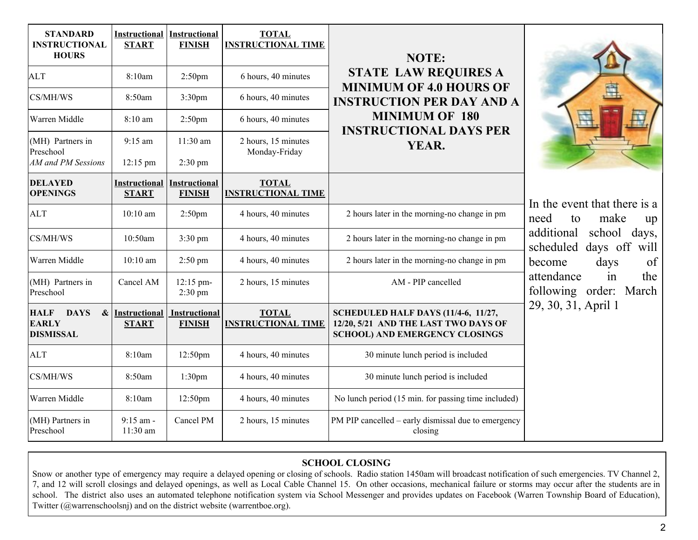| <b>STANDARD</b><br><b>INSTRUCTIONAL</b><br><b>HOURS</b>                             | <b>Instructional Instructional</b><br><b>START</b> | <b>FINISH</b>                         | <b>TOTAL</b><br><b>INSTRUCTIONAL TIME</b> | NOTE:                                                                                                                |                                                          |  |
|-------------------------------------------------------------------------------------|----------------------------------------------------|---------------------------------------|-------------------------------------------|----------------------------------------------------------------------------------------------------------------------|----------------------------------------------------------|--|
| <b>ALT</b>                                                                          | 8:10am                                             | 2:50 <sub>pm</sub>                    | 6 hours, 40 minutes                       | <b>STATE LAW REQUIRES A</b><br><b>MINIMUM OF 4.0 HOURS OF</b>                                                        |                                                          |  |
| CS/MH/WS                                                                            | 8:50am                                             | 3:30 <sub>pm</sub>                    | 6 hours, 40 minutes                       | <b>INSTRUCTION PER DAY AND A</b>                                                                                     |                                                          |  |
| Warren Middle                                                                       | 8:10 am                                            | 2:50pm                                | 6 hours, 40 minutes                       | <b>MINIMUM OF 180</b><br><b>INSTRUCTIONAL DAYS PER</b>                                                               |                                                          |  |
| (MH) Partners in<br>Preschool                                                       | $9:15$ am                                          | $11:30$ am                            | 2 hours, 15 minutes<br>YEAR.              |                                                                                                                      |                                                          |  |
| AM and PM Sessions                                                                  | $12:15 \text{ pm}$                                 | $2:30 \text{ pm}$                     |                                           | Monday-Friday                                                                                                        |                                                          |  |
| <b>DELAYED</b><br><b>OPENINGS</b>                                                   | <b>Instructional Instructional</b><br><b>START</b> | <b>FINISH</b>                         | <b>TOTAL</b><br><b>INSTRUCTIONAL TIME</b> |                                                                                                                      | In the event that there is a                             |  |
| <b>ALT</b>                                                                          | $10:10$ am                                         | 2:50 <sub>pm</sub>                    | 4 hours, 40 minutes                       | 2 hours later in the morning-no change in pm                                                                         | need<br>make<br>to<br>up                                 |  |
| CS/MH/WS                                                                            | 10:50am                                            | $3:30 \text{ pm}$                     | 4 hours, 40 minutes                       | 2 hours later in the morning-no change in pm                                                                         | additional<br>school<br>days,<br>scheduled days off will |  |
| Warren Middle                                                                       | $10:10$ am                                         | $2:50$ pm                             | 4 hours, 40 minutes                       | 2 hours later in the morning-no change in pm                                                                         | of<br>days<br>become                                     |  |
| (MH) Partners in<br>Preschool                                                       | Cancel AM                                          | 12:15 pm-<br>$2:30$ pm                | 2 hours, 15 minutes                       | AM - PIP cancelled                                                                                                   | attendance<br>the<br>in<br>following order: March        |  |
| <b>HALF</b><br><b>DAYS</b><br>$\boldsymbol{\&}$<br><b>EARLY</b><br><b>DISMISSAL</b> | Instructional<br><b>START</b>                      | <b>Instructional</b><br><b>FINISH</b> | <b>TOTAL</b><br><b>INSTRUCTIONAL TIME</b> | SCHEDULED HALF DAYS (11/4-6, 11/27,<br>12/20, 5/21 AND THE LAST TWO DAYS OF<br><b>SCHOOL) AND EMERGENCY CLOSINGS</b> | 29, 30, 31, April 1                                      |  |
| <b>ALT</b>                                                                          | 8:10am                                             | 12:50pm                               | 4 hours, 40 minutes                       | 30 minute lunch period is included                                                                                   |                                                          |  |
| CS/MH/WS                                                                            | 8:50am                                             | 1:30 <sub>pm</sub>                    | 4 hours, 40 minutes                       | 30 minute lunch period is included                                                                                   |                                                          |  |
| Warren Middle                                                                       | 8:10am                                             | 12:50pm                               | 4 hours, 40 minutes                       | No lunch period (15 min. for passing time included)                                                                  |                                                          |  |
| (MH) Partners in<br>Preschool                                                       | $9:15$ am -<br>11:30 am                            | Cancel PM                             | 2 hours, 15 minutes                       | PM PIP cancelled – early dismissal due to emergency<br>closing                                                       |                                                          |  |

#### **SCHOOL CLOSING**

Snow or another type of emergency may require a delayed opening or closing of schools. Radio station 1450am will broadcast notification of such emergencies. TV Channel 2, 7, and 12 will scroll closings and delayed openings, as well as Local Cable Channel 15. On other occasions, mechanical failure or storms may occur after the students are in school. The district also uses an automated telephone notification system via School Messenger and provides updates on Facebook (Warren Township Board of Education), Twitter (@warrenschoolsnj) and on the district website (warrentboe.org).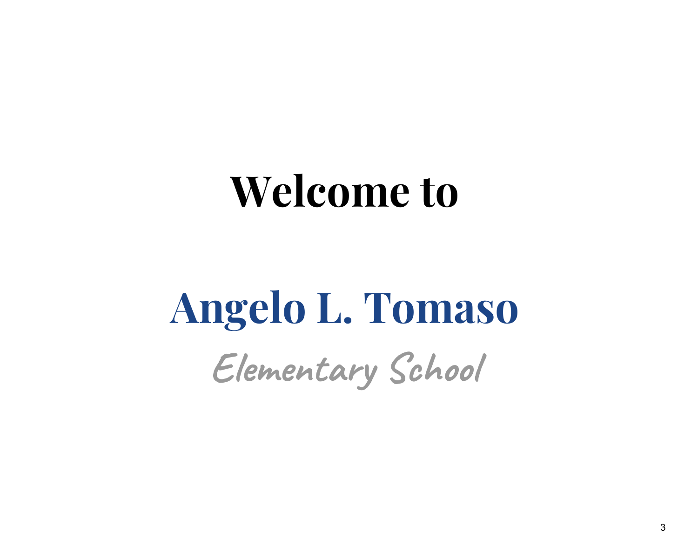# **Welcome to**

# **Angelo L. Tomaso Elementary School**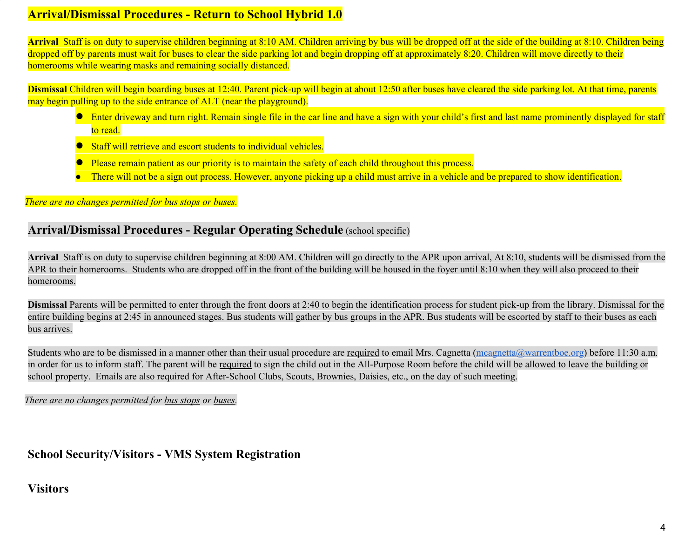# **Arrival/Dismissal Procedures - Return to School Hybrid 1.0**

**Arrival** Staff is on duty to supervise children beginning at 8:10 AM. Children arriving by bus will be dropped off at the side of the building at 8:10. Children being dropped off by parents must wait for buses to clear the side parking lot and begin dropping off at approximately 8:20. Children will move directly to their homerooms while wearing masks and remaining socially distanced.

**Dismissal** Children will begin boarding buses at 12:40. Parent pick-up will begin at about 12:50 after buses have cleared the side parking lot. At that time, parents may begin pulling up to the side entrance of ALT (near the playground).

- Enter driveway and turn right. Remain single file in the car line and have a sign with your child's first and last name prominently displayed for staff to read.
- **Staff will retrieve and escort students to individual vehicles.**
- Please remain patient as our priority is to maintain the safety of each child throughout this process.
- There will not be a sign out process. However, anyone picking up a child must arrive in a vehicle and be prepared to show identification.

### *There are no changes permitted for bus stops or buses.*

# **Arrival/Dismissal Procedures - Regular Operating Schedule** (school specific)

**Arrival** Staff is on duty to supervise children beginning at 8:00 AM. Children will go directly to the APR upon arrival, At 8:10, students will be dismissed from the APR to their homerooms. Students who are dropped off in the front of the building will be housed in the foyer until 8:10 when they will also proceed to their homerooms.

**Dismissal** Parents will be permitted to enter through the front doors at 2:40 to begin the identification process for student pick-up from the library. Dismissal for the entire building begins at 2:45 in announced stages. Bus students will gather by bus groups in the APR. Bus students will be escorted by staff to their buses as each bus arrives.

Students who are to be dismissed in a manner other than their usual procedure are required to email Mrs. Cagnetta  $(\omega_{\text{margnetta}}(\omega_{\text{warrent}})$  before 11:30 a.m. in order for us to inform staff. The parent will be required to sign the child out in the All-Purpose Room before the child will be allowed to leave the building or school property. Emails are also required for After-School Clubs, Scouts, Brownies, Daisies, etc., on the day of such meeting.

*There are no changes permitted for bus stops or buses.*

# **School Security/Visitors - VMS System Registration**

# **Visitors**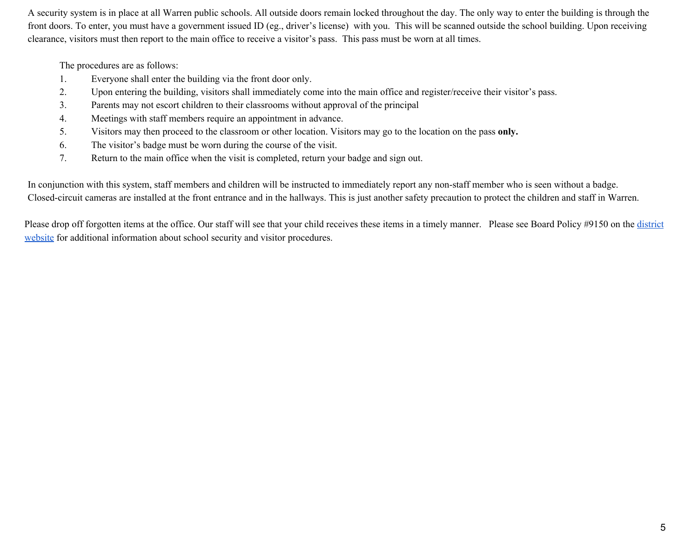A security system is in place at all Warren public schools. All outside doors remain locked throughout the day. The only way to enter the building is through the front doors. To enter, you must have a government issued ID (eg., driver's license) with you. This will be scanned outside the school building. Upon receiving clearance, visitors must then report to the main office to receive a visitor's pass. This pass must be worn at all times.

The procedures are as follows:

- 1. Everyone shall enter the building via the front door only.
- 2. Upon entering the building, visitors shall immediately come into the main office and register/receive their visitor's pass.
- 3. Parents may not escort children to their classrooms without approval of the principal
- 4. Meetings with staff members require an appointment in advance.
- 5. Visitors may then proceed to the classroom or other location. Visitors may go to the location on the pass **only.**
- 6. The visitor's badge must be worn during the course of the visit.
- 7. Return to the main office when the visit is completed, return your badge and sign out.

In conjunction with this system, staff members and children will be instructed to immediately report any non-staff member who is seen without a badge. Closed-circuit cameras are installed at the front entrance and in the hallways. This is just another safety precaution to protect the children and staff in Warren.

Please drop off forgotten items at the office. Our staff will see that your child receives these items in a timely manner. Please see Board Policy #9150 on the [district](https://www.warrentboe.org/board/Policies/) [website](https://www.warrentboe.org/board/Policies/) for additional information about school security and visitor procedures.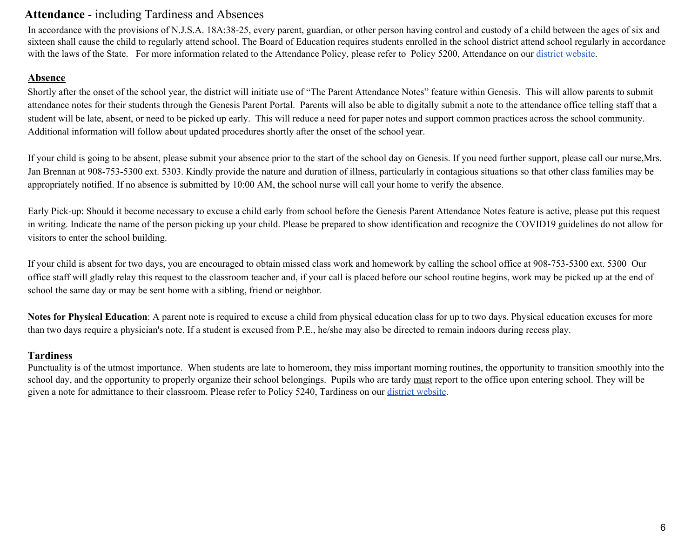# **Attendance** - including Tardiness and Absences

In accordance with the provisions of N.J.S.A. 18A:38-25, every parent, guardian, or other person having control and custody of a child between the ages of six and sixteen shall cause the child to regularly attend school. The Board of Education requires students enrolled in the school district attend school regularly in accordance with the laws of the State. For more information related to the Attendance Policy, please refer to Policy 5200, Attendance on our district [website](https://www.warrentboe.org/board/Policies/).

#### **Absence**

Shortly after the onset of the school year, the district will initiate use of "The Parent Attendance Notes" feature within Genesis. This will allow parents to submit attendance notes for their students through the Genesis Parent Portal. Parents will also be able to digitally submit a note to the attendance office telling staff that a student will be late, absent, or need to be picked up early. This will reduce a need for paper notes and support common practices across the school community. Additional information will follow about updated procedures shortly after the onset of the school year.

If your child is going to be absent, please submit your absence prior to the start of the school day on Genesis. If you need further support, please call our nurse,Mrs. Jan Brennan at 908-753-5300 ext. 5303. Kindly provide the nature and duration of illness, particularly in contagious situations so that other class families may be appropriately notified. If no absence is submitted by 10:00 AM, the school nurse will call your home to verify the absence.

Early Pick-up: Should it become necessary to excuse a child early from school before the Genesis Parent Attendance Notes feature is active, please put this request in writing. Indicate the name of the person picking up your child. Please be prepared to show identification and recognize the COVID19 guidelines do not allow for visitors to enter the school building.

If your child is absent for two days, you are encouraged to obtain missed class work and homework by calling the school office at 908-753-5300 ext. 5300 Our office staff will gladly relay this request to the classroom teacher and, if your call is placed before our school routine begins, work may be picked up at the end of school the same day or may be sent home with a sibling, friend or neighbor.

**Notes for Physical Education**: A parent note is required to excuse a child from physical education class for up to two days. Physical education excuses for more than two days require a physician's note. If a student is excused from P.E., he/she may also be directed to remain indoors during recess play.

### **Tardiness**

Punctuality is of the utmost importance. When students are late to homeroom, they miss important morning routines, the opportunity to transition smoothly into the school day, and the opportunity to properly organize their school belongings. Pupils who are tardy must report to the office upon entering school. They will be given a note for admittance to their classroom. Please refer to Policy 5240, Tardiness on our district [website](https://www.warrentboe.org/board/Policies/).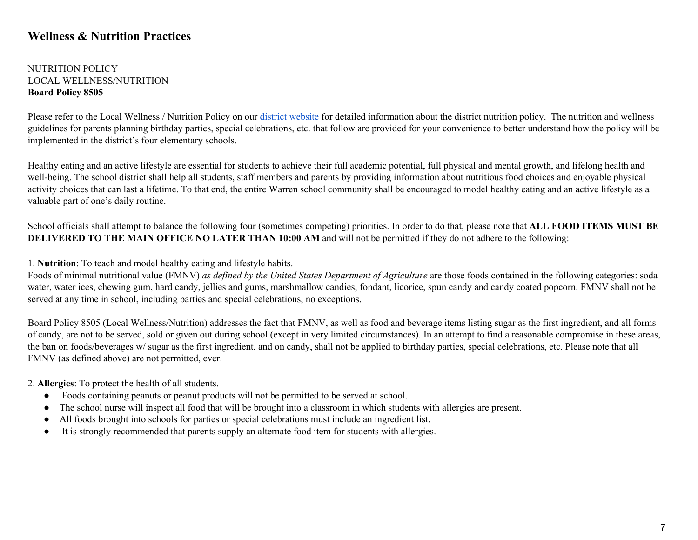# **Wellness & Nutrition Practices**

#### NUTRITION POLICY LOCAL WELLNESS/NUTRITION **Board Policy 8505**

Please refer to the Local Wellness / Nutrition Policy on our district [website](https://www.warrentboe.org/board/Policies/) for detailed information about the district nutrition policy. The nutrition and wellness guidelines for parents planning birthday parties, special celebrations, etc. that follow are provided for your convenience to better understand how the policy will be implemented in the district's four elementary schools.

Healthy eating and an active lifestyle are essential for students to achieve their full academic potential, full physical and mental growth, and lifelong health and well-being. The school district shall help all students, staff members and parents by providing information about nutritious food choices and enjoyable physical activity choices that can last a lifetime. To that end, the entire Warren school community shall be encouraged to model healthy eating and an active lifestyle as a valuable part of one's daily routine.

School officials shall attempt to balance the following four (sometimes competing) priorities. In order to do that, please note that **ALL FOOD ITEMS MUST BE DELIVERED TO THE MAIN OFFICE NO LATER THAN 10:00 AM** and will not be permitted if they do not adhere to the following:

#### 1. **Nutrition**: To teach and model healthy eating and lifestyle habits.

Foods of minimal nutritional value (FMNV) *as defined by the United States Department of Agriculture* are those foods contained in the following categories: soda water, water ices, chewing gum, hard candy, jellies and gums, marshmallow candies, fondant, licorice, spun candy and candy coated popcorn. FMNV shall not be served at any time in school, including parties and special celebrations, no exceptions.

Board Policy 8505 (Local Wellness/Nutrition) addresses the fact that FMNV, as well as food and beverage items listing sugar as the first ingredient, and all forms of candy, are not to be served, sold or given out during school (except in very limited circumstances). In an attempt to find a reasonable compromise in these areas, the ban on foods/beverages w/ sugar as the first ingredient, and on candy, shall not be applied to birthday parties, special celebrations, etc. Please note that all FMNV (as defined above) are not permitted, ever.

#### 2. **Allergies**: To protect the health of all students.

- Foods containing peanuts or peanut products will not be permitted to be served at school.
- The school nurse will inspect all food that will be brought into a classroom in which students with allergies are present.
- All foods brought into schools for parties or special celebrations must include an ingredient list.
- It is strongly recommended that parents supply an alternate food item for students with allergies.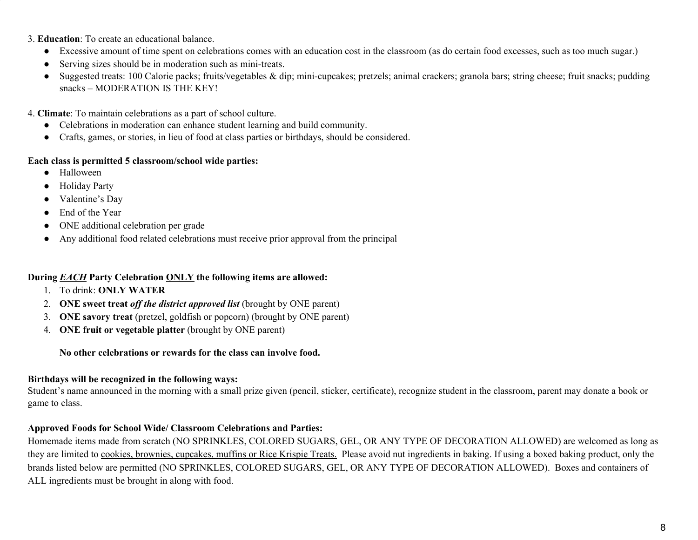3. **Education**: To create an educational balance.

- Excessive amount of time spent on celebrations comes with an education cost in the classroom (as do certain food excesses, such as too much sugar.)
- Serving sizes should be in moderation such as mini-treats.
- Suggested treats: 100 Calorie packs; fruits/vegetables & dip; mini-cupcakes; pretzels; animal crackers; granola bars; string cheese; fruit snacks; pudding snacks – MODERATION IS THE KEY!

4. **Climate**: To maintain celebrations as a part of school culture.

- Celebrations in moderation can enhance student learning and build community.
- Crafts, games, or stories, in lieu of food at class parties or birthdays, should be considered.

#### **Each class is permitted 5 classroom/school wide parties:**

- Halloween
- Holiday Party
- Valentine's Day
- End of the Year
- ONE additional celebration per grade
- Any additional food related celebrations must receive prior approval from the principal

#### **During** *EACH* **Party Celebration ONLY the following items are allowed:**

- 1. To drink: **ONLY WATER**
- 2. **ONE sweet treat** *of the district approved list* (brought by ONE parent)
- 3. **ONE savory treat** (pretzel, goldfish or popcorn) (brought by ONE parent)
- 4. **ONE fruit or vegetable platter** (brought by ONE parent)

#### **No other celebrations or rewards for the class can involve food.**

### **Birthdays will be recognized in the following ways:**

Student's name announced in the morning with a small prize given (pencil, sticker, certificate), recognize student in the classroom, parent may donate a book or game to class.

### **Approved Foods for School Wide/ Classroom Celebrations and Parties:**

Homemade items made from scratch (NO SPRINKLES, COLORED SUGARS, GEL, OR ANY TYPE OF DECORATION ALLOWED) are welcomed as long as they are limited to cookies, brownies, cupcakes, muffins or Rice Krispie Treats. Please avoid nut ingredients in baking. If using a boxed baking product, only the brands listed below are permitted (NO SPRINKLES, COLORED SUGARS, GEL, OR ANY TYPE OF DECORATION ALLOWED). Boxes and containers of ALL ingredients must be brought in along with food.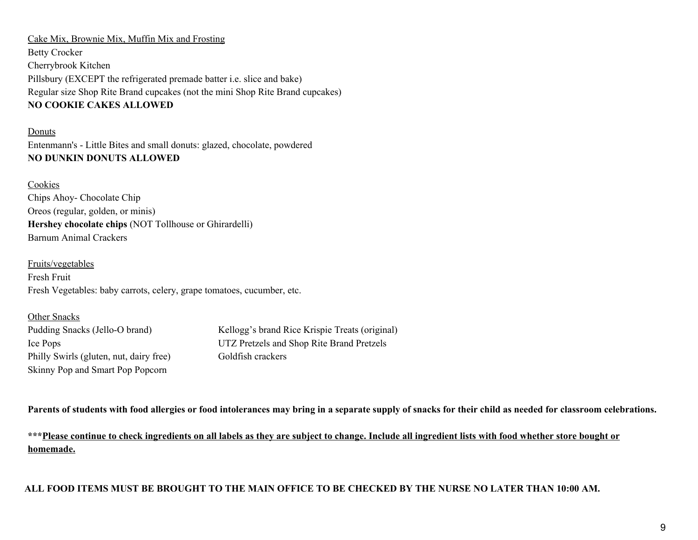Cake Mix, Brownie Mix, Muffin Mix and Frosting Betty Crocker Cherrybrook Kitchen Pillsbury (EXCEPT the refrigerated premade batter i.e. slice and bake) Regular size Shop Rite Brand cupcakes (not the mini Shop Rite Brand cupcakes) **NO COOKIE CAKES ALLOWED**

Donuts Entenmann's - Little Bites and small donuts: glazed, chocolate, powdered **NO DUNKIN DONUTS ALLOWED**

Cookies Chips Ahoy- Chocolate Chip Oreos (regular, golden, or minis) **Hershey chocolate chips** (NOT Tollhouse or Ghirardelli) Barnum Animal Crackers

Fruits/vegetables Fresh Fruit Fresh Vegetables: baby carrots, celery, grape tomatoes, cucumber, etc.

| Other Snacks                            |                                                |
|-----------------------------------------|------------------------------------------------|
| Pudding Snacks (Jello-O brand)          | Kellogg's brand Rice Krispie Treats (original) |
| Ice Pops                                | UTZ Pretzels and Shop Rite Brand Pretzels      |
| Philly Swirls (gluten, nut, dairy free) | Goldfish crackers                              |
| Skinny Pop and Smart Pop Popcorn        |                                                |

Parents of students with food allergies or food intolerances may bring in a separate supply of snacks for their child as needed for classroom celebrations.

\*\*\* Please continue to check ingredients on all labels as they are subject to change. Include all ingredient lists with food whether store bought or **homemade.**

ALL FOOD ITEMS MUST BE BROUGHT TO THE MAIN OFFICE TO BE CHECKED BY THE NURSE NO LATER THAN 10:00 AM.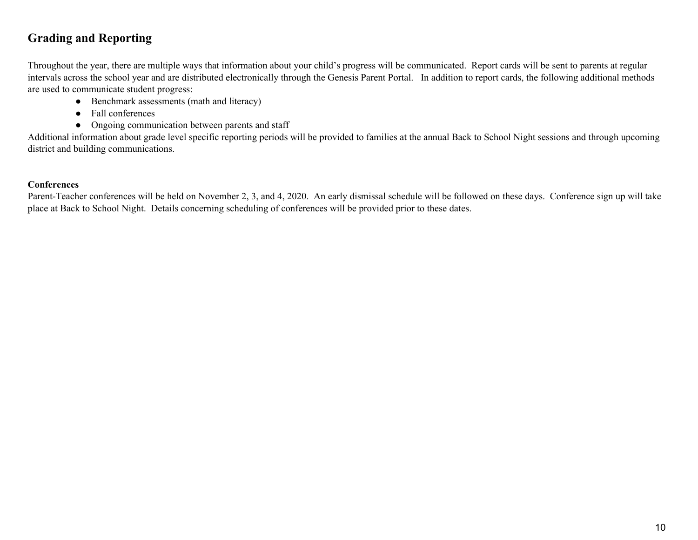# **Grading and Reporting**

Throughout the year, there are multiple ways that information about your child's progress will be communicated. Report cards will be sent to parents at regular intervals across the school year and are distributed electronically through the Genesis Parent Portal. In addition to report cards, the following additional methods are used to communicate student progress:

- Benchmark assessments (math and literacy)
- Fall conferences
- Ongoing communication between parents and staff

Additional information about grade level specific reporting periods will be provided to families at the annual Back to School Night sessions and through upcoming district and building communications.

### **Conferences**

Parent-Teacher conferences will be held on November 2, 3, and 4, 2020. An early dismissal schedule will be followed on these days. Conference sign up will take place at Back to School Night. Details concerning scheduling of conferences will be provided prior to these dates.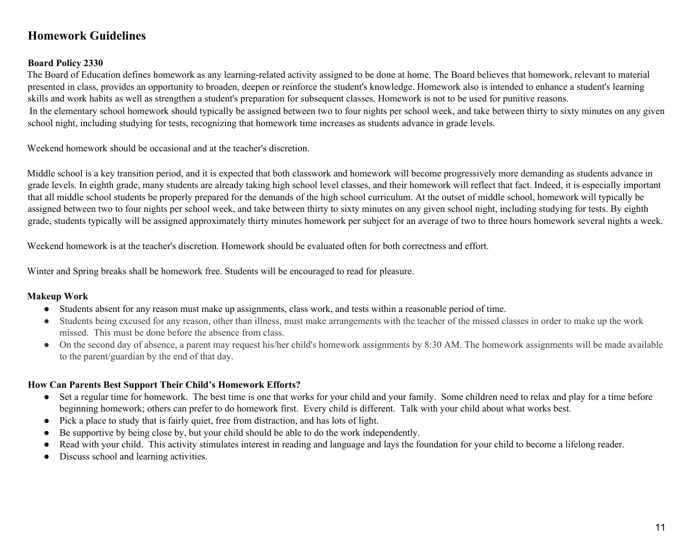# **Homework Guidelines**

#### **Board Policy 2330**

The Board of Education defines homework as any learning-related activity assigned to be done at home. The Board believes that homework, relevant to material presented in class, provides an opportunity to broaden, deepen or reinforce the student's knowledge. Homework also is intended to enhance a student's learning skills and work habits as well as strengthen a student's preparation for subsequent classes. Homework is not to be used for punitive reasons. In the elementary school homework should typically be assigned between two to four nights per school week, and take between thirty to sixty minutes on any given school night, including studying for tests, recognizing that homework time increases as students advance in grade levels.

Weekend homework should be occasional and at the teacher's discretion.

Middle school is a key transition period, and it is expected that both classwork and homework will become progressively more demanding as students advance in grade levels. In eighth grade, many students are already taking high school level classes, and their homework will reflect that fact. Indeed, it is especially important that all middle school students be properly prepared for the demands of the high school curriculum. At the outset of middle school, homework will typically be assigned between two to four nights per school week, and take between thirty to sixty minutes on any given school night, including studying for tests. By eighth grade, students typically will be assigned approximately thirty minutes homework per subject for an average of two to three hours homework several nights a week.

Weekend homework is at the teacher's discretion. Homework should be evaluated often for both correctness and effort.

Winter and Spring breaks shall be homework free. Students will be encouraged to read for pleasure.

#### **Makeup Work**

- Students absent for any reason must make up assignments, class work, and tests within a reasonable period of time.
- Students being excused for any reason, other than illness, must make arrangements with the teacher of the missed classes in order to make up the work missed. This must be done before the absence from class.
- On the second day of absence, a parent may request his/her child's homework assignments by 8:30 AM. The homework assignments will be made available to the parent/guardian by the end of that day.

#### **How Can Parents Best Support Their Child's Homework Efforts?**

- Set a regular time for homework. The best time is one that works for your child and your family. Some children need to relax and play for a time before beginning homework; others can prefer to do homework first. Every child is different. Talk with your child about what works best.
- Pick a place to study that is fairly quiet, free from distraction, and has lots of light.
- Be supportive by being close by, but your child should be able to do the work independently.
- Read with your child. This activity stimulates interest in reading and language and lays the foundation for your child to become a lifelong reader.
- Discuss school and learning activities.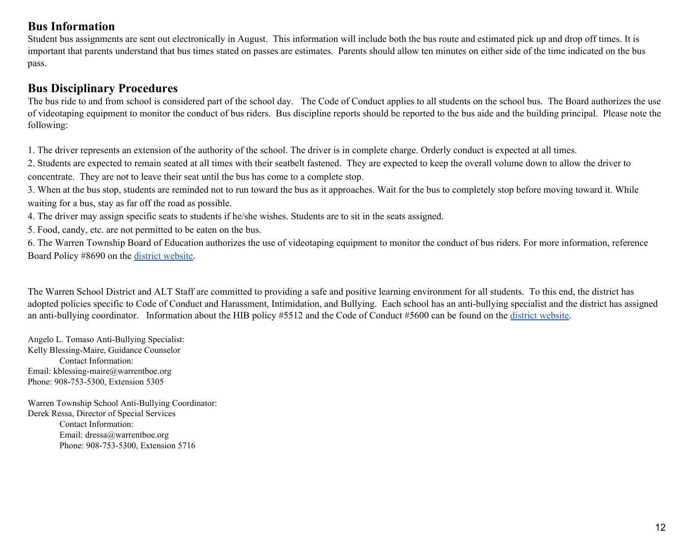# **Bus Information**

Student bus assignments are sent out electronically in August. This information will include both the bus route and estimated pick up and drop off times. It is important that parents understand that bus times stated on passes are estimates. Parents should allow ten minutes on either side of the time indicated on the bus pass.

# **Bus Disciplinary Procedures**

The bus ride to and from school is considered part of the school day. The Code of Conduct applies to all students on the school bus. The Board authorizes the use of videotaping equipment to monitor the conduct of bus riders. Bus discipline reports should be reported to the bus aide and the building principal. Please note the following:

1. The driver represents an extension of the authority of the school. The driver is in complete charge. Orderly conduct is expected at all times.

2. Students are expected to remain seated at all times with their seatbelt fastened. They are expected to keep the overall volume down to allow the driver to concentrate. They are not to leave their seat until the bus has come to a complete stop.

3. When at the bus stop, students are reminded not to run toward the bus as it approaches. Wait for the bus to completely stop before moving toward it. While waiting for a bus, stay as far off the road as possible.

4. The driver may assign specific seats to students if he/she wishes. Students are to sit in the seats assigned.

5. Food, candy, etc. are not permitted to be eaten on the bus.

6. The Warren Township Board of Education authorizes the use of videotaping equipment to monitor the conduct of bus riders. For more information, reference Board Policy #8690 on the district [website.](https://www.warrentboe.org/board/Policies/)

The Warren School District and ALT Staff are committed to providing a safe and positive learning environment for all students. To this end, the district has adopted policies specific to Code of Conduct and Harassment, Intimidation, and Bullying. Each school has an anti-bullying specialist and the district has assigned an anti-bullying coordinator. Information about the HIB policy #5512 and the Code of Conduct #5600 can be found on the district [website.](https://www.warrentboe.org/board/Policies/)

Angelo L. Tomaso Anti-Bullying Specialist: Kelly Blessing-Maire, Guidance Counselor Contact Information: Email: kblessing-maire@warrentboe.org Phone: 908-753-5300, Extension 5305

Warren Township School Anti-Bullying Coordinator: Derek Ressa, Director of Special Services Contact Information: Email: dressa@warrentboe.org Phone: 908-753-5300, Extension 5716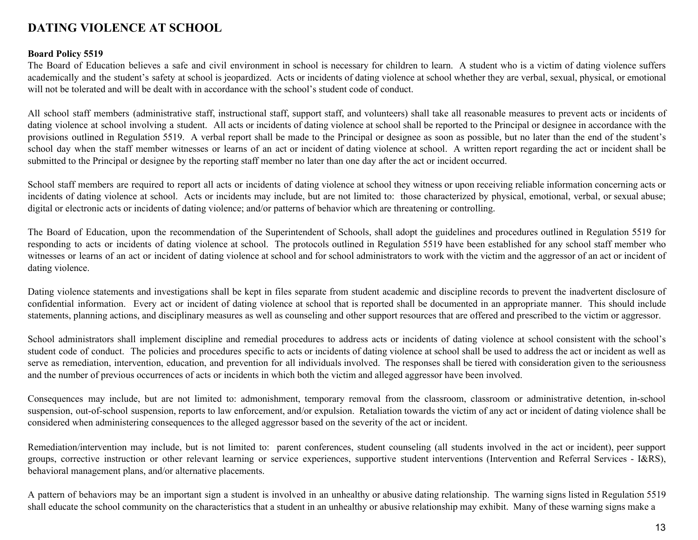# **DATING VIOLENCE AT SCHOOL**

#### **Board Policy 5519**

The Board of Education believes a safe and civil environment in school is necessary for children to learn. A student who is a victim of dating violence suffers academically and the student's safety at school is jeopardized. Acts or incidents of dating violence at school whether they are verbal, sexual, physical, or emotional will not be tolerated and will be dealt with in accordance with the school's student code of conduct.

All school staff members (administrative staff, instructional staff, support staff, and volunteers) shall take all reasonable measures to prevent acts or incidents of dating violence at school involving a student. All acts or incidents of dating violence at school shall be reported to the Principal or designee in accordance with the provisions outlined in Regulation 5519. A verbal report shall be made to the Principal or designee as soon as possible, but no later than the end of the student's school day when the staff member witnesses or learns of an act or incident of dating violence at school. A written report regarding the act or incident shall be submitted to the Principal or designee by the reporting staff member no later than one day after the act or incident occurred.

School staff members are required to report all acts or incidents of dating violence at school they witness or upon receiving reliable information concerning acts or incidents of dating violence at school. Acts or incidents may include, but are not limited to: those characterized by physical, emotional, verbal, or sexual abuse; digital or electronic acts or incidents of dating violence; and/or patterns of behavior which are threatening or controlling.

The Board of Education, upon the recommendation of the Superintendent of Schools, shall adopt the guidelines and procedures outlined in Regulation 5519 for responding to acts or incidents of dating violence at school. The protocols outlined in Regulation 5519 have been established for any school staff member who witnesses or learns of an act or incident of dating violence at school and for school administrators to work with the victim and the aggressor of an act or incident of dating violence.

Dating violence statements and investigations shall be kept in files separate from student academic and discipline records to prevent the inadvertent disclosure of confidential information. Every act or incident of dating violence at school that is reported shall be documented in an appropriate manner. This should include statements, planning actions, and disciplinary measures as well as counseling and other support resources that are offered and prescribed to the victim or aggressor.

School administrators shall implement discipline and remedial procedures to address acts or incidents of dating violence at school consistent with the school's student code of conduct. The policies and procedures specific to acts or incidents of dating violence at school shall be used to address the act or incident as well as serve as remediation, intervention, education, and prevention for all individuals involved. The responses shall be tiered with consideration given to the seriousness and the number of previous occurrences of acts or incidents in which both the victim and alleged aggressor have been involved.

Consequences may include, but are not limited to: admonishment, temporary removal from the classroom, classroom or administrative detention, in-school suspension, out-of-school suspension, reports to law enforcement, and/or expulsion. Retaliation towards the victim of any act or incident of dating violence shall be considered when administering consequences to the alleged aggressor based on the severity of the act or incident.

Remediation/intervention may include, but is not limited to: parent conferences, student counseling (all students involved in the act or incident), peer support groups, corrective instruction or other relevant learning or service experiences, supportive student interventions (Intervention and Referral Services - I&RS), behavioral management plans, and/or alternative placements.

A pattern of behaviors may be an important sign a student is involved in an unhealthy or abusive dating relationship. The warning signs listed in Regulation 5519 shall educate the school community on the characteristics that a student in an unhealthy or abusive relationship may exhibit. Many of these warning signs make a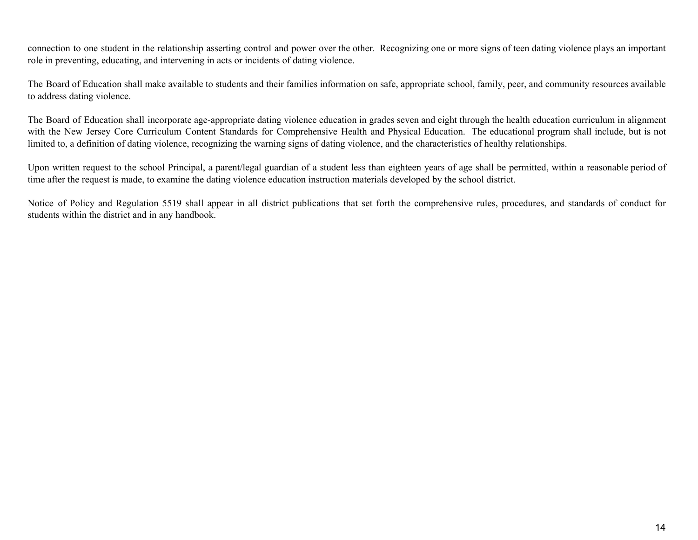connection to one student in the relationship asserting control and power over the other. Recognizing one or more signs of teen dating violence plays an important role in preventing, educating, and intervening in acts or incidents of dating violence.

The Board of Education shall make available to students and their families information on safe, appropriate school, family, peer, and community resources available to address dating violence.

The Board of Education shall incorporate age-appropriate dating violence education in grades seven and eight through the health education curriculum in alignment with the New Jersey Core Curriculum Content Standards for Comprehensive Health and Physical Education. The educational program shall include, but is not limited to, a definition of dating violence, recognizing the warning signs of dating violence, and the characteristics of healthy relationships.

Upon written request to the school Principal, a parent/legal guardian of a student less than eighteen years of age shall be permitted, within a reasonable period of time after the request is made, to examine the dating violence education instruction materials developed by the school district.

Notice of Policy and Regulation 5519 shall appear in all district publications that set forth the comprehensive rules, procedures, and standards of conduct for students within the district and in any handbook.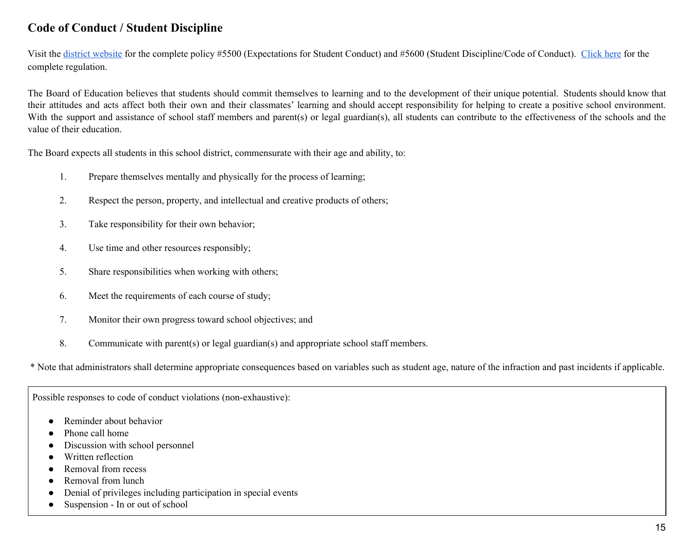# **Code of Conduct / Student Discipline**

Visit the district [website](https://www.warrentboe.org/board/Policies/) for the complete policy #5500 (Expectations for Student Conduct) and #5600 (Student Discipline/Code of Conduct). [Click](https://drive.google.com/open?id=1Z5VfiwSaECLoKuRIyswQJZDyNz_7yOg_) here for the complete regulation.

The Board of Education believes that students should commit themselves to learning and to the development of their unique potential. Students should know that their attitudes and acts affect both their own and their classmates' learning and should accept responsibility for helping to create a positive school environment. With the support and assistance of school staff members and parent(s) or legal guardian(s), all students can contribute to the effectiveness of the schools and the value of their education.

The Board expects all students in this school district, commensurate with their age and ability, to:

- 1. Prepare themselves mentally and physically for the process of learning;
- 2. Respect the person, property, and intellectual and creative products of others;
- 3. Take responsibility for their own behavior;
- 4. Use time and other resources responsibly;
- 5. Share responsibilities when working with others;
- 6. Meet the requirements of each course of study;
- 7. Monitor their own progress toward school objectives; and
- 8. Communicate with parent(s) or legal guardian(s) and appropriate school staff members.

\* Note that administrators shall determine appropriate consequences based on variables such as student age, nature of the infraction and past incidents if applicable.

Possible responses to code of conduct violations (non-exhaustive):

- Reminder about behavior
- Phone call home
- Discussion with school personnel
- Written reflection
- Removal from recess
- Removal from lunch
- Denial of privileges including participation in special events
- Suspension In or out of school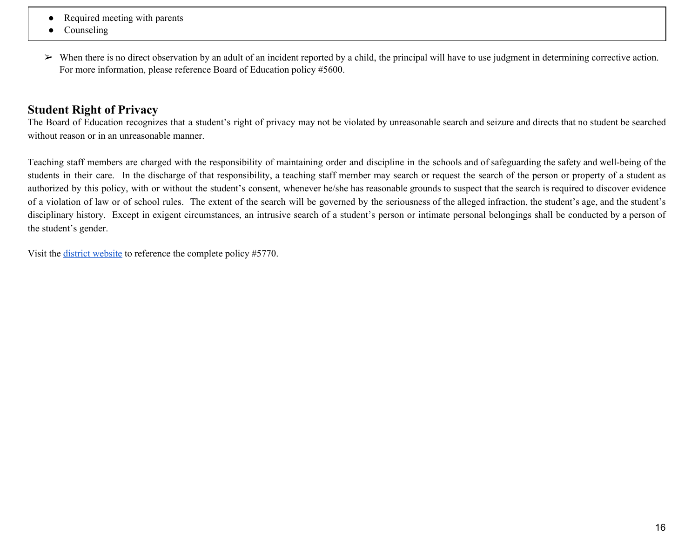- Required meeting with parents
- Counseling
- $\triangleright$  When there is no direct observation by an adult of an incident reported by a child, the principal will have to use judgment in determining corrective action. For more information, please reference Board of Education policy #5600.

# **Student Right of Privacy**

The Board of Education recognizes that a student's right of privacy may not be violated by unreasonable search and seizure and directs that no student be searched without reason or in an unreasonable manner.

Teaching staff members are charged with the responsibility of maintaining order and discipline in the schools and of safeguarding the safety and well-being of the students in their care. In the discharge of that responsibility, a teaching staff member may search or request the search of the person or property of a student as authorized by this policy, with or without the student's consent, whenever he/she has reasonable grounds to suspect that the search is required to discover evidence of a violation of law or of school rules. The extent of the search will be governed by the seriousness of the alleged infraction, the student's age, and the student's disciplinary history. Except in exigent circumstances, an intrusive search of a student's person or intimate personal belongings shall be conducted by a person of the student's gender.

Visit the district [website](https://www.warrentboe.org/board/Policies/) to reference the complete policy #5770.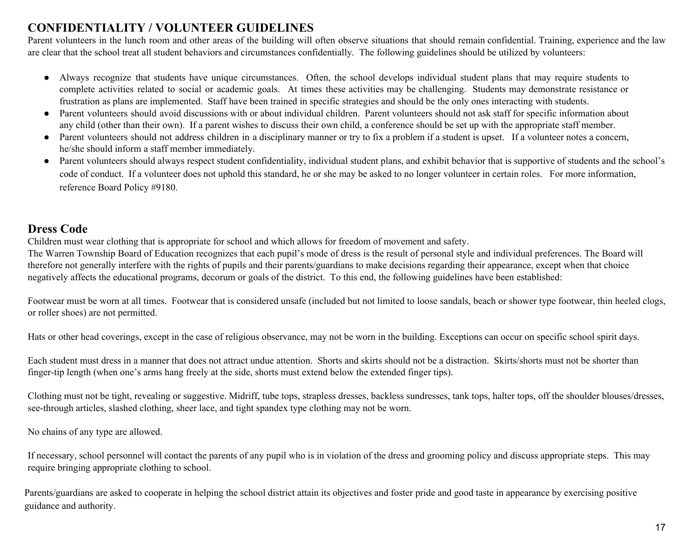# **CONFIDENTIALITY / VOLUNTEER GUIDELINES**

Parent volunteers in the lunch room and other areas of the building will often observe situations that should remain confidential. Training, experience and the law are clear that the school treat all student behaviors and circumstances confidentially. The following guidelines should be utilized by volunteers:

- Always recognize that students have unique circumstances. Often, the school develops individual student plans that may require students to complete activities related to social or academic goals. At times these activities may be challenging. Students may demonstrate resistance or frustration as plans are implemented. Staff have been trained in specific strategies and should be the only ones interacting with students.
- Parent volunteers should avoid discussions with or about individual children. Parent volunteers should not ask staff for specific information about any child (other than their own). If a parent wishes to discuss their own child, a conference should be set up with the appropriate staff member.
- Parent volunteers should not address children in a disciplinary manner or try to fix a problem if a student is upset. If a volunteer notes a concern, he/she should inform a staff member immediately.
- Parent volunteers should always respect student confidentiality, individual student plans, and exhibit behavior that is supportive of students and the school's code of conduct. If a volunteer does not uphold this standard, he or she may be asked to no longer volunteer in certain roles. For more information, reference Board Policy #9180.

# **Dress Code**

Children must wear clothing that is appropriate for school and which allows for freedom of movement and safety.

The Warren Township Board of Education recognizes that each pupil's mode of dress is the result of personal style and individual preferences. The Board will therefore not generally interfere with the rights of pupils and their parents/guardians to make decisions regarding their appearance, except when that choice negatively affects the educational programs, decorum or goals of the district. To this end, the following guidelines have been established:

Footwear must be worn at all times. Footwear that is considered unsafe (included but not limited to loose sandals, beach or shower type footwear, thin heeled clogs, or roller shoes) are not permitted.

Hats or other head coverings, except in the case of religious observance, may not be worn in the building. Exceptions can occur on specific school spirit days.

Each student must dress in a manner that does not attract undue attention. Shorts and skirts should not be a distraction. Skirts/shorts must not be shorter than finger-tip length (when one's arms hang freely at the side, shorts must extend below the extended finger tips).

Clothing must not be tight, revealing or suggestive. Midriff, tube tops, strapless dresses, backless sundresses, tank tops, halter tops, off the shoulder blouses/dresses, see-through articles, slashed clothing, sheer lace, and tight spandex type clothing may not be worn.

No chains of any type are allowed.

If necessary, school personnel will contact the parents of any pupil who is in violation of the dress and grooming policy and discuss appropriate steps. This may require bringing appropriate clothing to school.

Parents/guardians are asked to cooperate in helping the school district attain its objectives and foster pride and good taste in appearance by exercising positive guidance and authority.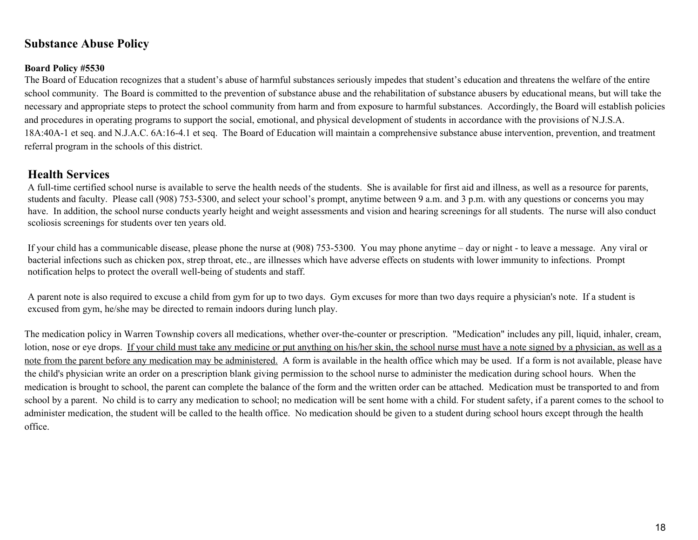# **Substance Abuse Policy**

#### **Board Policy #5530**

The Board of Education recognizes that a student's abuse of harmful substances seriously impedes that student's education and threatens the welfare of the entire school community. The Board is committed to the prevention of substance abuse and the rehabilitation of substance abusers by educational means, but will take the necessary and appropriate steps to protect the school community from harm and from exposure to harmful substances. Accordingly, the Board will establish policies and procedures in operating programs to support the social, emotional, and physical development of students in accordance with the provisions of N.J.S.A. 18A:40A-1 et seq. and N.J.A.C. 6A:16-4.1 et seq. The Board of Education will maintain a comprehensive substance abuse intervention, prevention, and treatment referral program in the schools of this district.

# **Health Services**

A full-time certified school nurse is available to serve the health needs of the students. She is available for first aid and illness, as well as a resource for parents, students and faculty. Please call (908) 753-5300, and select your school's prompt, anytime between 9 a.m. and 3 p.m. with any questions or concerns you may have. In addition, the school nurse conducts yearly height and weight assessments and vision and hearing screenings for all students. The nurse will also conduct scoliosis screenings for students over ten years old.

If your child has a communicable disease, please phone the nurse at (908) 753-5300. You may phone anytime – day or night - to leave a message. Any viral or bacterial infections such as chicken pox, strep throat, etc., are illnesses which have adverse effects on students with lower immunity to infections. Prompt notification helps to protect the overall well-being of students and staff.

A parent note is also required to excuse a child from gym for up to two days. Gym excuses for more than two days require a physician's note. If a student is excused from gym, he/she may be directed to remain indoors during lunch play.

The medication policy in Warren Township covers all medications, whether over-the-counter or prescription. "Medication" includes any pill, liquid, inhaler, cream, lotion, nose or eye drops. If your child must take any medicine or put anything on his/her skin, the school nurse must have a note signed by a physician, as well as a note from the parent before any medication may be administered. A form is available in the health office which may be used. If a form is not available, please have the child's physician write an order on a prescription blank giving permission to the school nurse to administer the medication during school hours. When the medication is brought to school, the parent can complete the balance of the form and the written order can be attached. Medication must be transported to and from school by a parent. No child is to carry any medication to school; no medication will be sent home with a child. For student safety, if a parent comes to the school to administer medication, the student will be called to the health office. No medication should be given to a student during school hours except through the health office.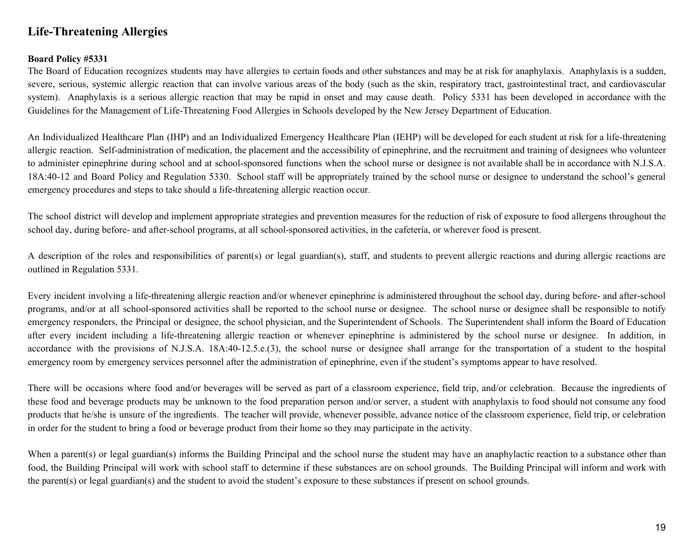# **Life-Threatening Allergies**

#### **Board Policy #5331**

The Board of Education recognizes students may have allergies to certain foods and other substances and may be at risk for anaphylaxis. Anaphylaxis is a sudden, severe, serious, systemic allergic reaction that can involve various areas of the body (such as the skin, respiratory tract, gastrointestinal tract, and cardiovascular system). Anaphylaxis is a serious allergic reaction that may be rapid in onset and may cause death. Policy 5331 has been developed in accordance with the Guidelines for the Management of Life-Threatening Food Allergies in Schools developed by the New Jersey Department of Education.

An Individualized Healthcare Plan (IHP) and an Individualized Emergency Healthcare Plan (IEHP) will be developed for each student at risk for a life-threatening allergic reaction. Self-administration of medication, the placement and the accessibility of epinephrine, and the recruitment and training of designees who volunteer to administer epinephrine during school and at school-sponsored functions when the school nurse or designee is not available shall be in accordance with N.J.S.A. 18A:40-12 and Board Policy and Regulation 5330. School staff will be appropriately trained by the school nurse or designee to understand the school's general emergency procedures and steps to take should a life-threatening allergic reaction occur.

The school district will develop and implement appropriate strategies and prevention measures for the reduction of risk of exposure to food allergens throughout the school day, during before- and after-school programs, at all school-sponsored activities, in the cafeteria, or wherever food is present.

A description of the roles and responsibilities of parent(s) or legal guardian(s), staff, and students to prevent allergic reactions and during allergic reactions are outlined in Regulation 5331.

Every incident involving a life-threatening allergic reaction and/or whenever epinephrine is administered throughout the school day, during before- and after-school programs, and/or at all school-sponsored activities shall be reported to the school nurse or designee. The school nurse or designee shall be responsible to notify emergency responders, the Principal or designee, the school physician, and the Superintendent of Schools. The Superintendent shall inform the Board of Education after every incident including a life-threatening allergic reaction or whenever epinephrine is administered by the school nurse or designee. In addition, in accordance with the provisions of N.J.S.A. 18A:40-12.5.e.(3), the school nurse or designee shall arrange for the transportation of a student to the hospital emergency room by emergency services personnel after the administration of epinephrine, even if the student's symptoms appear to have resolved.

There will be occasions where food and/or beverages will be served as part of a classroom experience, field trip, and/or celebration. Because the ingredients of these food and beverage products may be unknown to the food preparation person and/or server, a student with anaphylaxis to food should not consume any food products that he/she is unsure of the ingredients. The teacher will provide, whenever possible, advance notice of the classroom experience, field trip, or celebration in order for the student to bring a food or beverage product from their home so they may participate in the activity.

When a parent(s) or legal guardian(s) informs the Building Principal and the school nurse the student may have an anaphylactic reaction to a substance other than food, the Building Principal will work with school staff to determine if these substances are on school grounds. The Building Principal will inform and work with the parent(s) or legal guardian(s) and the student to avoid the student's exposure to these substances if present on school grounds.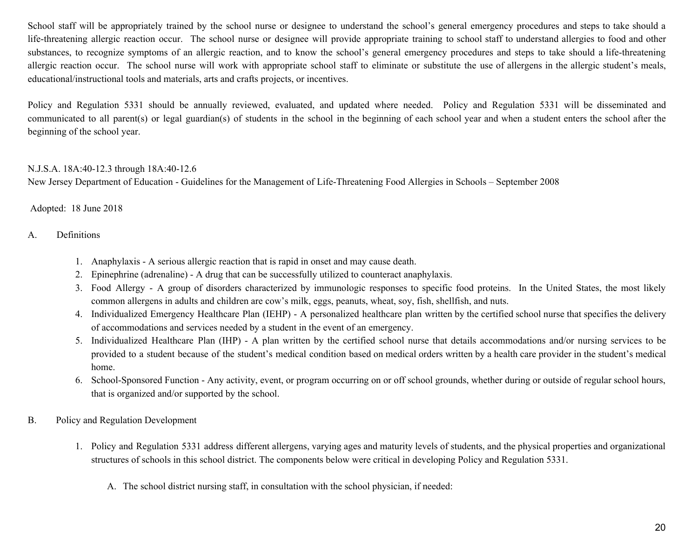School staff will be appropriately trained by the school nurse or designee to understand the school's general emergency procedures and steps to take should a life-threatening allergic reaction occur. The school nurse or designee will provide appropriate training to school staff to understand allergies to food and other substances, to recognize symptoms of an allergic reaction, and to know the school's general emergency procedures and steps to take should a life-threatening allergic reaction occur. The school nurse will work with appropriate school staff to eliminate or substitute the use of allergens in the allergic student's meals, educational/instructional tools and materials, arts and crafts projects, or incentives.

Policy and Regulation 5331 should be annually reviewed, evaluated, and updated where needed. Policy and Regulation 5331 will be disseminated and communicated to all parent(s) or legal guardian(s) of students in the school in the beginning of each school year and when a student enters the school after the beginning of the school year.

#### N.J.S.A. 18A:40-12.3 through 18A:40-12.6

New Jersey Department of Education - Guidelines for the Management of Life-Threatening Food Allergies in Schools – September 2008

#### Adopted: 18 June 2018

#### A. Definitions

- 1. Anaphylaxis A serious allergic reaction that is rapid in onset and may cause death.
- 2. Epinephrine (adrenaline) A drug that can be successfully utilized to counteract anaphylaxis.
- 3. Food Allergy A group of disorders characterized by immunologic responses to specific food proteins. In the United States, the most likely common allergens in adults and children are cow's milk, eggs, peanuts, wheat, soy, fish, shellfish, and nuts.
- 4. Individualized Emergency Healthcare Plan (IEHP) A personalized healthcare plan written by the certified school nurse that specifies the delivery of accommodations and services needed by a student in the event of an emergency.
- 5. Individualized Healthcare Plan (IHP) A plan written by the certified school nurse that details accommodations and/or nursing services to be provided to a student because of the student's medical condition based on medical orders written by a health care provider in the student's medical home.
- 6. School-Sponsored Function Any activity, event, or program occurring on or off school grounds, whether during or outside of regular school hours, that is organized and/or supported by the school.
- B. Policy and Regulation Development
	- 1. Policy and Regulation 5331 address different allergens, varying ages and maturity levels of students, and the physical properties and organizational structures of schools in this school district. The components below were critical in developing Policy and Regulation 5331.
		- A. The school district nursing staff, in consultation with the school physician, if needed: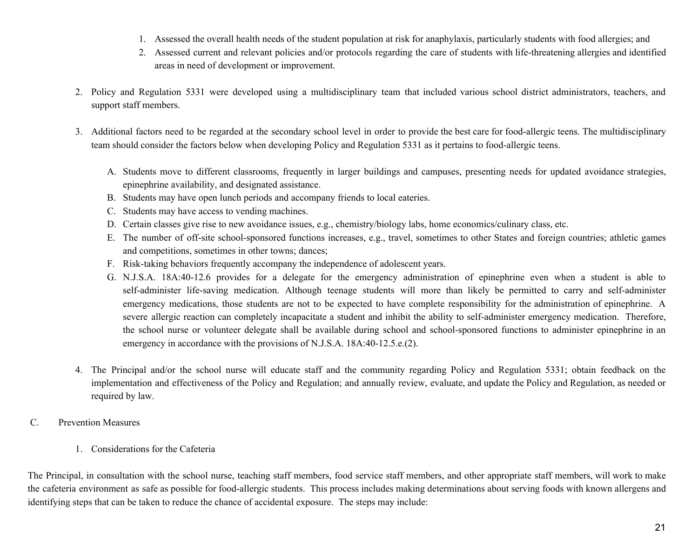- 1. Assessed the overall health needs of the student population at risk for anaphylaxis, particularly students with food allergies; and
- 2. Assessed current and relevant policies and/or protocols regarding the care of students with life-threatening allergies and identified areas in need of development or improvement.
- 2. Policy and Regulation 5331 were developed using a multidisciplinary team that included various school district administrators, teachers, and support staff members.
- 3. Additional factors need to be regarded at the secondary school level in order to provide the best care for food-allergic teens. The multidisciplinary team should consider the factors below when developing Policy and Regulation 5331 as it pertains to food-allergic teens.
	- A. Students move to different classrooms, frequently in larger buildings and campuses, presenting needs for updated avoidance strategies, epinephrine availability, and designated assistance.
	- B. Students may have open lunch periods and accompany friends to local eateries.
	- C. Students may have access to vending machines.
	- D. Certain classes give rise to new avoidance issues, e.g., chemistry/biology labs, home economics/culinary class, etc.
	- E. The number of off-site school-sponsored functions increases, e.g., travel, sometimes to other States and foreign countries; athletic games and competitions, sometimes in other towns; dances;
	- F. Risk-taking behaviors frequently accompany the independence of adolescent years.
	- G. N.J.S.A. 18A:40-12.6 provides for a delegate for the emergency administration of epinephrine even when a student is able to self-administer life-saving medication. Although teenage students will more than likely be permitted to carry and self-administer emergency medications, those students are not to be expected to have complete responsibility for the administration of epinephrine. A severe allergic reaction can completely incapacitate a student and inhibit the ability to self-administer emergency medication. Therefore, the school nurse or volunteer delegate shall be available during school and school-sponsored functions to administer epinephrine in an emergency in accordance with the provisions of N.J.S.A. 18A:40-12.5.e.(2).
- 4. The Principal and/or the school nurse will educate staff and the community regarding Policy and Regulation 5331; obtain feedback on the implementation and effectiveness of the Policy and Regulation; and annually review, evaluate, and update the Policy and Regulation, as needed or required by law.
- C. Prevention Measures
	- 1. Considerations for the Cafeteria

The Principal, in consultation with the school nurse, teaching staff members, food service staff members, and other appropriate staff members, will work to make the cafeteria environment as safe as possible for food-allergic students. This process includes making determinations about serving foods with known allergens and identifying steps that can be taken to reduce the chance of accidental exposure. The steps may include: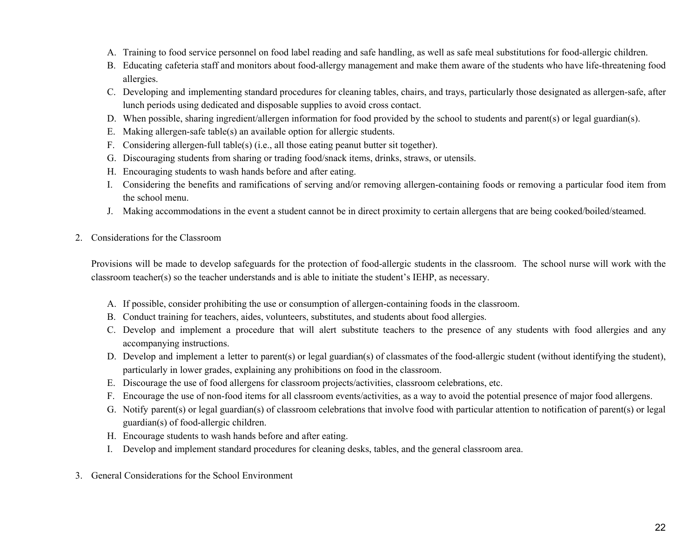- A. Training to food service personnel on food label reading and safe handling, as well as safe meal substitutions for food-allergic children.
- B. Educating cafeteria staff and monitors about food-allergy management and make them aware of the students who have life-threatening food allergies.
- C. Developing and implementing standard procedures for cleaning tables, chairs, and trays, particularly those designated as allergen-safe, after lunch periods using dedicated and disposable supplies to avoid cross contact.
- D. When possible, sharing ingredient/allergen information for food provided by the school to students and parent(s) or legal guardian(s).
- E. Making allergen-safe table(s) an available option for allergic students.
- F. Considering allergen-full table(s) (i.e., all those eating peanut butter sit together).
- G. Discouraging students from sharing or trading food/snack items, drinks, straws, or utensils.
- H. Encouraging students to wash hands before and after eating.
- I. Considering the benefits and ramifications of serving and/or removing allergen-containing foods or removing a particular food item from the school menu.
- J. Making accommodations in the event a student cannot be in direct proximity to certain allergens that are being cooked/boiled/steamed.
- 2. Considerations for the Classroom

Provisions will be made to develop safeguards for the protection of food-allergic students in the classroom. The school nurse will work with the classroom teacher(s) so the teacher understands and is able to initiate the student's IEHP, as necessary.

- A. If possible, consider prohibiting the use or consumption of allergen-containing foods in the classroom.
- B. Conduct training for teachers, aides, volunteers, substitutes, and students about food allergies.
- C. Develop and implement a procedure that will alert substitute teachers to the presence of any students with food allergies and any accompanying instructions.
- D. Develop and implement a letter to parent(s) or legal guardian(s) of classmates of the food-allergic student (without identifying the student), particularly in lower grades, explaining any prohibitions on food in the classroom.
- E. Discourage the use of food allergens for classroom projects/activities, classroom celebrations, etc.
- F. Encourage the use of non-food items for all classroom events/activities, as a way to avoid the potential presence of major food allergens.
- G. Notify parent(s) or legal guardian(s) of classroom celebrations that involve food with particular attention to notification of parent(s) or legal guardian(s) of food-allergic children.
- H. Encourage students to wash hands before and after eating.
- I. Develop and implement standard procedures for cleaning desks, tables, and the general classroom area.
- 3. General Considerations for the School Environment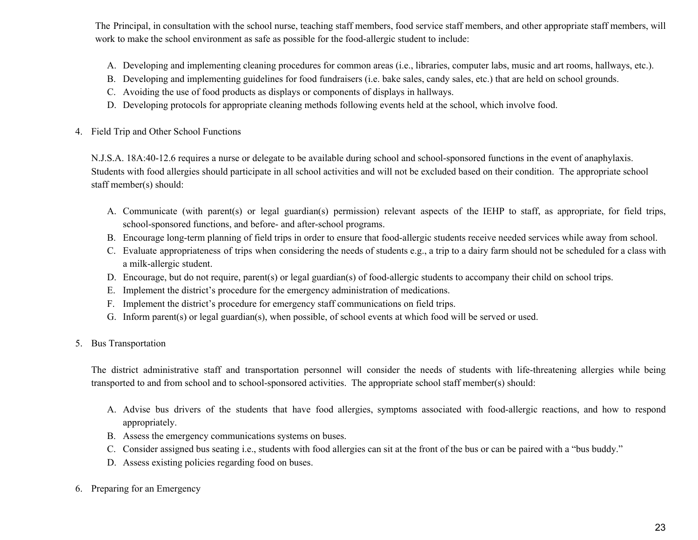The Principal, in consultation with the school nurse, teaching staff members, food service staff members, and other appropriate staff members, will work to make the school environment as safe as possible for the food-allergic student to include:

- A. Developing and implementing cleaning procedures for common areas (i.e., libraries, computer labs, music and art rooms, hallways, etc.).
- B. Developing and implementing guidelines for food fundraisers (i.e. bake sales, candy sales, etc.) that are held on school grounds.
- C. Avoiding the use of food products as displays or components of displays in hallways.
- D. Developing protocols for appropriate cleaning methods following events held at the school, which involve food.
- 4. Field Trip and Other School Functions

N.J.S.A. 18A:40-12.6 requires a nurse or delegate to be available during school and school-sponsored functions in the event of anaphylaxis. Students with food allergies should participate in all school activities and will not be excluded based on their condition. The appropriate school staff member(s) should:

- A. Communicate (with parent(s) or legal guardian(s) permission) relevant aspects of the IEHP to staff, as appropriate, for field trips, school-sponsored functions, and before- and after-school programs.
- B. Encourage long-term planning of field trips in order to ensure that food-allergic students receive needed services while away from school.
- C. Evaluate appropriateness of trips when considering the needs of students e.g., a trip to a dairy farm should not be scheduled for a class with a milk-allergic student.
- D. Encourage, but do not require, parent(s) or legal guardian(s) of food-allergic students to accompany their child on school trips.
- E. Implement the district's procedure for the emergency administration of medications.
- F. Implement the district's procedure for emergency staff communications on field trips.
- G. Inform parent(s) or legal guardian(s), when possible, of school events at which food will be served or used.
- 5. Bus Transportation

The district administrative staff and transportation personnel will consider the needs of students with life-threatening allergies while being transported to and from school and to school-sponsored activities. The appropriate school staff member(s) should:

- A. Advise bus drivers of the students that have food allergies, symptoms associated with food-allergic reactions, and how to respond appropriately.
- B. Assess the emergency communications systems on buses.
- C. Consider assigned bus seating i.e., students with food allergies can sit at the front of the bus or can be paired with a "bus buddy."
- D. Assess existing policies regarding food on buses.
- 6. Preparing for an Emergency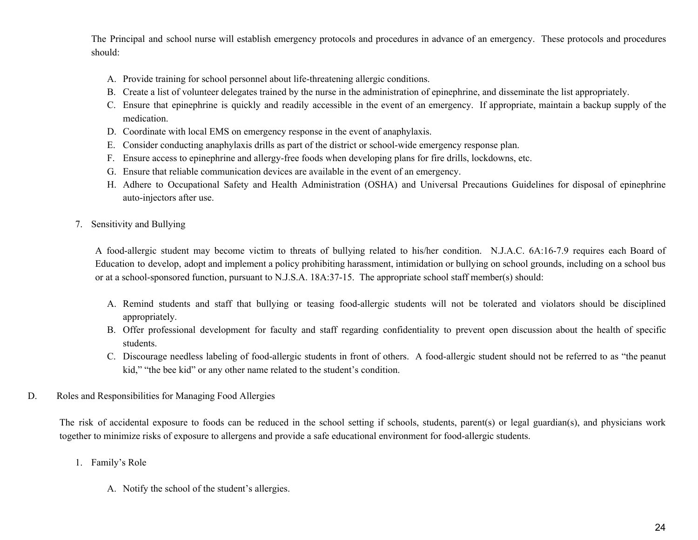The Principal and school nurse will establish emergency protocols and procedures in advance of an emergency. These protocols and procedures should:

- A. Provide training for school personnel about life-threatening allergic conditions.
- B. Create a list of volunteer delegates trained by the nurse in the administration of epinephrine, and disseminate the list appropriately.
- C. Ensure that epinephrine is quickly and readily accessible in the event of an emergency. If appropriate, maintain a backup supply of the medication.
- D. Coordinate with local EMS on emergency response in the event of anaphylaxis.
- E. Consider conducting anaphylaxis drills as part of the district or school-wide emergency response plan.
- F. Ensure access to epinephrine and allergy-free foods when developing plans for fire drills, lockdowns, etc.
- G. Ensure that reliable communication devices are available in the event of an emergency.
- H. Adhere to Occupational Safety and Health Administration (OSHA) and Universal Precautions Guidelines for disposal of epinephrine auto-injectors after use.
- 7. Sensitivity and Bullying

A food-allergic student may become victim to threats of bullying related to his/her condition. N.J.A.C. 6A:16-7.9 requires each Board of Education to develop, adopt and implement a policy prohibiting harassment, intimidation or bullying on school grounds, including on a school bus or at a school-sponsored function, pursuant to N.J.S.A. 18A:37-15. The appropriate school staff member(s) should:

- A. Remind students and staff that bullying or teasing food-allergic students will not be tolerated and violators should be disciplined appropriately.
- B. Offer professional development for faculty and staff regarding confidentiality to prevent open discussion about the health of specific students.
- C. Discourage needless labeling of food-allergic students in front of others. A food-allergic student should not be referred to as "the peanut kid," "the bee kid" or any other name related to the student's condition.
- D. Roles and Responsibilities for Managing Food Allergies

The risk of accidental exposure to foods can be reduced in the school setting if schools, students, parent(s) or legal guardian(s), and physicians work together to minimize risks of exposure to allergens and provide a safe educational environment for food-allergic students.

- 1. Family's Role
	- A. Notify the school of the student's allergies.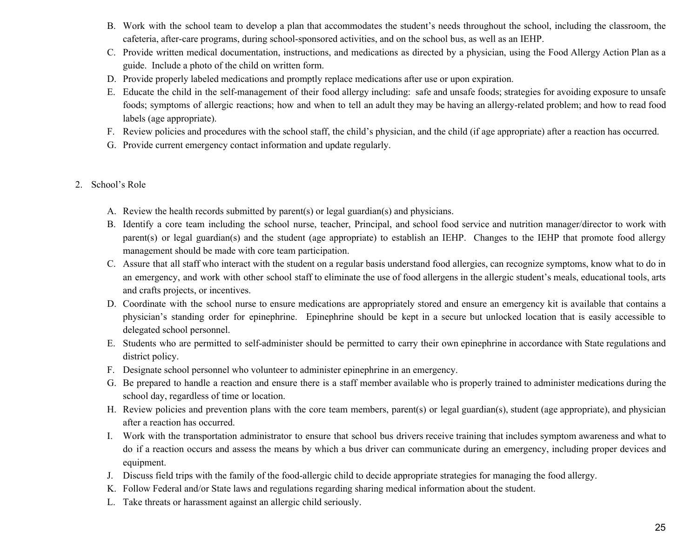- B. Work with the school team to develop a plan that accommodates the student's needs throughout the school, including the classroom, the cafeteria, after-care programs, during school-sponsored activities, and on the school bus, as well as an IEHP.
- C. Provide written medical documentation, instructions, and medications as directed by a physician, using the Food Allergy Action Plan as a guide. Include a photo of the child on written form.
- D. Provide properly labeled medications and promptly replace medications after use or upon expiration.
- E. Educate the child in the self-management of their food allergy including: safe and unsafe foods; strategies for avoiding exposure to unsafe foods; symptoms of allergic reactions; how and when to tell an adult they may be having an allergy-related problem; and how to read food labels (age appropriate).
- F. Review policies and procedures with the school staff, the child's physician, and the child (if age appropriate) after a reaction has occurred.
- G. Provide current emergency contact information and update regularly.
- 2. School's Role
	- A. Review the health records submitted by parent(s) or legal guardian(s) and physicians.
	- B. Identify a core team including the school nurse, teacher, Principal, and school food service and nutrition manager/director to work with parent(s) or legal guardian(s) and the student (age appropriate) to establish an IEHP. Changes to the IEHP that promote food allergy management should be made with core team participation.
	- C. Assure that all staff who interact with the student on a regular basis understand food allergies, can recognize symptoms, know what to do in an emergency, and work with other school staff to eliminate the use of food allergens in the allergic student's meals, educational tools, arts and crafts projects, or incentives.
	- D. Coordinate with the school nurse to ensure medications are appropriately stored and ensure an emergency kit is available that contains a physician's standing order for epinephrine. Epinephrine should be kept in a secure but unlocked location that is easily accessible to delegated school personnel.
	- E. Students who are permitted to self-administer should be permitted to carry their own epinephrine in accordance with State regulations and district policy.
	- F. Designate school personnel who volunteer to administer epinephrine in an emergency.
	- G. Be prepared to handle a reaction and ensure there is a staff member available who is properly trained to administer medications during the school day, regardless of time or location.
	- H. Review policies and prevention plans with the core team members, parent(s) or legal guardian(s), student (age appropriate), and physician after a reaction has occurred.
	- I. Work with the transportation administrator to ensure that school bus drivers receive training that includes symptom awareness and what to do if a reaction occurs and assess the means by which a bus driver can communicate during an emergency, including proper devices and equipment.
	- J. Discuss field trips with the family of the food-allergic child to decide appropriate strategies for managing the food allergy.
	- K. Follow Federal and/or State laws and regulations regarding sharing medical information about the student.
	- L. Take threats or harassment against an allergic child seriously.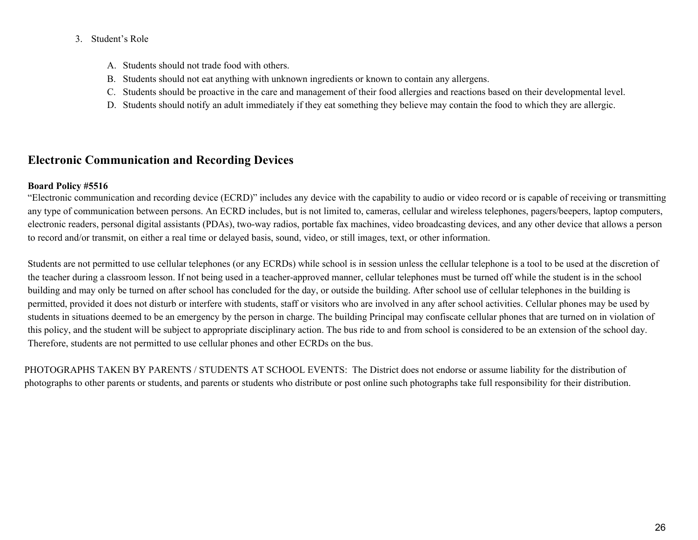#### 3. Student's Role

- A. Students should not trade food with others.
- B. Students should not eat anything with unknown ingredients or known to contain any allergens.
- C. Students should be proactive in the care and management of their food allergies and reactions based on their developmental level.
- D. Students should notify an adult immediately if they eat something they believe may contain the food to which they are allergic.

# **Electronic Communication and Recording Devices**

### **Board Policy #5516**

"Electronic communication and recording device (ECRD)" includes any device with the capability to audio or video record or is capable of receiving or transmitting any type of communication between persons. An ECRD includes, but is not limited to, cameras, cellular and wireless telephones, pagers/beepers, laptop computers, electronic readers, personal digital assistants (PDAs), two-way radios, portable fax machines, video broadcasting devices, and any other device that allows a person to record and/or transmit, on either a real time or delayed basis, sound, video, or still images, text, or other information.

Students are not permitted to use cellular telephones (or any ECRDs) while school is in session unless the cellular telephone is a tool to be used at the discretion of the teacher during a classroom lesson. If not being used in a teacher-approved manner, cellular telephones must be turned off while the student is in the school building and may only be turned on after school has concluded for the day, or outside the building. After school use of cellular telephones in the building is permitted, provided it does not disturb or interfere with students, staff or visitors who are involved in any after school activities. Cellular phones may be used by students in situations deemed to be an emergency by the person in charge. The building Principal may confiscate cellular phones that are turned on in violation of this policy, and the student will be subject to appropriate disciplinary action. The bus ride to and from school is considered to be an extension of the school day. Therefore, students are not permitted to use cellular phones and other ECRDs on the bus.

PHOTOGRAPHS TAKEN BY PARENTS / STUDENTS AT SCHOOL EVENTS: The District does not endorse or assume liability for the distribution of photographs to other parents or students, and parents or students who distribute or post online such photographs take full responsibility for their distribution.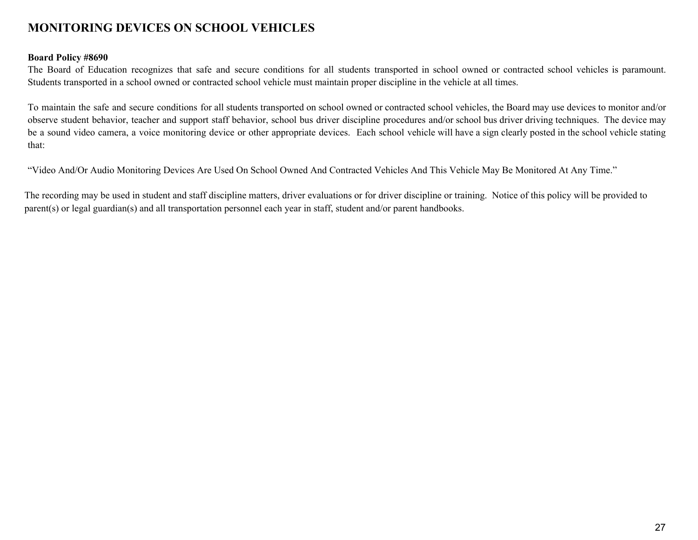# **MONITORING DEVICES ON SCHOOL VEHICLES**

#### **Board Policy #8690**

The Board of Education recognizes that safe and secure conditions for all students transported in school owned or contracted school vehicles is paramount. Students transported in a school owned or contracted school vehicle must maintain proper discipline in the vehicle at all times.

To maintain the safe and secure conditions for all students transported on school owned or contracted school vehicles, the Board may use devices to monitor and/or observe student behavior, teacher and support staff behavior, school bus driver discipline procedures and/or school bus driver driving techniques. The device may be a sound video camera, a voice monitoring device or other appropriate devices. Each school vehicle will have a sign clearly posted in the school vehicle stating that:

"Video And/Or Audio Monitoring Devices Are Used On School Owned And Contracted Vehicles And This Vehicle May Be Monitored At Any Time."

The recording may be used in student and staff discipline matters, driver evaluations or for driver discipline or training. Notice of this policy will be provided to parent(s) or legal guardian(s) and all transportation personnel each year in staff, student and/or parent handbooks.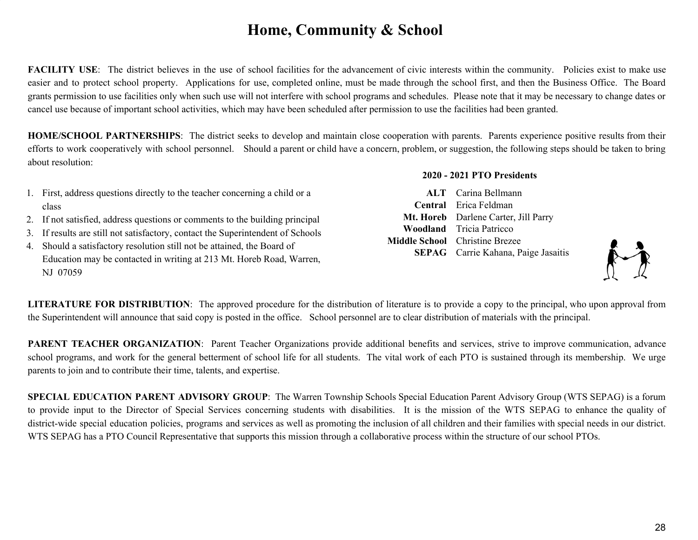# **Home, Community & School**

**FACILITY** USE: The district believes in the use of school facilities for the advancement of civic interests within the community. Policies exist to make use easier and to protect school property. Applications for use, completed online, must be made through the school first, and then the Business Office. The Board grants permission to use facilities only when such use will not interfere with school programs and schedules. Please note that it may be necessary to change dates or cancel use because of important school activities, which may have been scheduled after permission to use the facilities had been granted.

**HOME/SCHOOL PARTNERSHIPS**: The district seeks to develop and maintain close cooperation with parents. Parents experience positive results from their efforts to work cooperatively with school personnel. Should a parent or child have a concern, problem, or suggestion, the following steps should be taken to bring about resolution:

- 1. First, address questions directly to the teacher concerning a child or a class
- 2. If not satisfied, address questions or comments to the building principal
- 3. If results are still not satisfactory, contact the Superintendent of Schools
- 4. Should a satisfactory resolution still not be attained, the Board of Education may be contacted in writing at 213 Mt. Horeb Road, Warren, NJ 07059

#### **2020 - 2021 PTO Presidents**

**ALT** Carina Bellmann **Central** Erica Feldman **Mt. Horeb** Darlene Carter, Jill Parry **Woodland** Tricia Patricco **Middle School** Christine Brezee **SEPAG** Carrie Kahana, Paige Jasaitis



**LITERATURE FOR DISTRIBUTION**: The approved procedure for the distribution of literature is to provide a copy to the principal, who upon approval from the Superintendent will announce that said copy is posted in the office. School personnel are to clear distribution of materials with the principal.

**PARENT TEACHER ORGANIZATION**: Parent Teacher Organizations provide additional benefits and services, strive to improve communication, advance school programs, and work for the general betterment of school life for all students. The vital work of each PTO is sustained through its membership. We urge parents to join and to contribute their time, talents, and expertise.

**SPECIAL EDUCATION PARENT ADVISORY GROUP**: The Warren Township Schools Special Education Parent Advisory Group (WTS SEPAG) is a forum to provide input to the Director of Special Services concerning students with disabilities. It is the mission of the WTS SEPAG to enhance the quality of district-wide special education policies, programs and services as well as promoting the inclusion of all children and their families with special needs in our district. WTS SEPAG has a PTO Council Representative that supports this mission through a collaborative process within the structure of our school PTOs.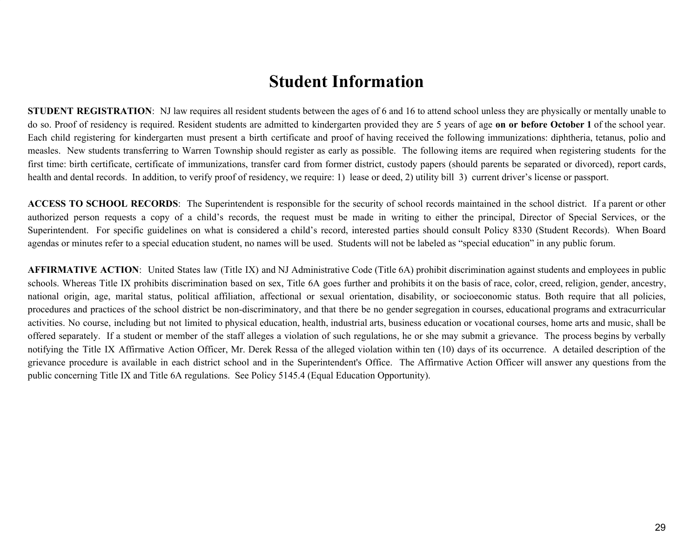# **Student Information**

**STUDENT REGISTRATION:** NJ law requires all resident students between the ages of 6 and 16 to attend school unless they are physically or mentally unable to do so. Proof of residency is required. Resident students are admitted to kindergarten provided they are 5 years of age **on or before October 1** of the school year. Each child registering for kindergarten must present a birth certificate and proof of having received the following immunizations: diphtheria, tetanus, polio and measles. New students transferring to Warren Township should register as early as possible. The following items are required when registering students for the first time: birth certificate, certificate of immunizations, transfer card from former district, custody papers (should parents be separated or divorced), report cards, health and dental records. In addition, to verify proof of residency, we require: 1) lease or deed, 2) utility bill 3) current driver's license or passport.

**ACCESS TO SCHOOL RECORDS**: The Superintendent is responsible for the security of school records maintained in the school district. If a parent or other authorized person requests a copy of a child's records, the request must be made in writing to either the principal, Director of Special Services, or the Superintendent. For specific guidelines on what is considered a child's record, interested parties should consult Policy 8330 (Student Records). When Board agendas or minutes refer to a special education student, no names will be used. Students will not be labeled as "special education" in any public forum.

**AFFIRMATIVE ACTION:** United States law (Title IX) and NJ Administrative Code (Title 6A) prohibit discrimination against students and employees in public schools. Whereas Title IX prohibits discrimination based on sex, Title 6A goes further and prohibits it on the basis of race, color, creed, religion, gender, ancestry, national origin, age, marital status, political affiliation, affectional or sexual orientation, disability, or socioeconomic status. Both require that all policies, procedures and practices of the school district be non-discriminatory, and that there be no gender segregation in courses, educational programs and extracurricular activities. No course, including but not limited to physical education, health, industrial arts, business education or vocational courses, home arts and music, shall be offered separately. If a student or member of the staff alleges a violation of such regulations, he or she may submit a grievance. The process begins by verbally notifying the Title IX Affirmative Action Officer, Mr. Derek Ressa of the alleged violation within ten (10) days of its occurrence. A detailed description of the grievance procedure is available in each district school and in the Superintendent's Office. The Affirmative Action Officer will answer any questions from the public concerning Title IX and Title 6A regulations. See Policy 5145.4 (Equal Education Opportunity).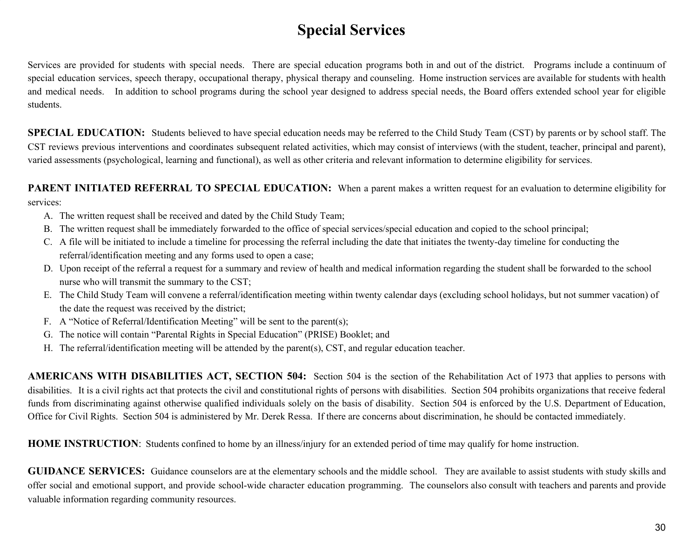# **Special Services**

Services are provided for students with special needs. There are special education programs both in and out of the district. Programs include a continuum of special education services, speech therapy, occupational therapy, physical therapy and counseling. Home instruction services are available for students with health and medical needs. In addition to school programs during the school year designed to address special needs, the Board offers extended school year for eligible students.

**SPECIAL EDUCATION:** Students believed to have special education needs may be referred to the Child Study Team (CST) by parents or by school staff. The CST reviews previous interventions and coordinates subsequent related activities, which may consist of interviews (with the student, teacher, principal and parent), varied assessments (psychological, learning and functional), as well as other criteria and relevant information to determine eligibility for services.

**PARENT INITIATED REFERRAL TO SPECIAL EDUCATION:** When a parent makes a written request for an evaluation to determine eligibility for services:

- A. The written request shall be received and dated by the Child Study Team;
- B. The written request shall be immediately forwarded to the office of special services/special education and copied to the school principal;
- C. A file will be initiated to include a timeline for processing the referral including the date that initiates the twenty-day timeline for conducting the referral/identification meeting and any forms used to open a case;
- D. Upon receipt of the referral a request for a summary and review of health and medical information regarding the student shall be forwarded to the school nurse who will transmit the summary to the CST;
- E. The Child Study Team will convene a referral/identification meeting within twenty calendar days (excluding school holidays, but not summer vacation) of the date the request was received by the district;
- F. A "Notice of Referral/Identification Meeting" will be sent to the parent(s);
- G. The notice will contain "Parental Rights in Special Education" (PRISE) Booklet; and
- H. The referral/identification meeting will be attended by the parent(s), CST, and regular education teacher.

**AMERICANS WITH DISABILITIES ACT, SECTION 504:** Section 504 is the section of the Rehabilitation Act of 1973 that applies to persons with disabilities. It is a civil rights act that protects the civil and constitutional rights of persons with disabilities. Section 504 prohibits organizations that receive federal funds from discriminating against otherwise qualified individuals solely on the basis of disability. Section 504 is enforced by the U.S. Department of Education, Office for Civil Rights. Section 504 is administered by Mr. Derek Ressa. If there are concerns about discrimination, he should be contacted immediately.

**HOME INSTRUCTION**: Students confined to home by an illness/injury for an extended period of time may qualify for home instruction.

**GUIDANCE SERVICES:** Guidance counselors are at the elementary schools and the middle school. They are available to assist students with study skills and offer social and emotional support, and provide school-wide character education programming. The counselors also consult with teachers and parents and provide valuable information regarding community resources.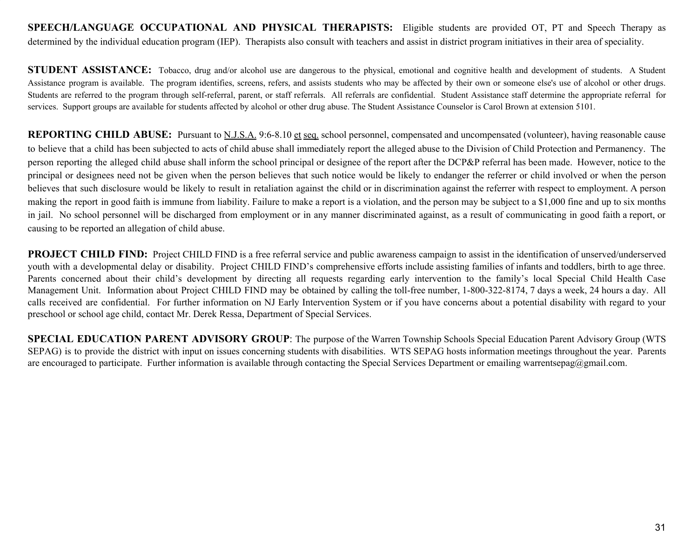**SPEECH/LANGUAGE OCCUPATIONAL AND PHYSICAL THERAPISTS:** Eligible students are provided OT, PT and Speech Therapy as determined by the individual education program (IEP). Therapists also consult with teachers and assist in district program initiatives in their area of speciality.

**STUDENT ASSISTANCE:** Tobacco, drug and/or alcohol use are dangerous to the physical, emotional and cognitive health and development of students. A Student Assistance program is available. The program identifies, screens, refers, and assists students who may be affected by their own or someone else's use of alcohol or other drugs. Students are referred to the program through self-referral, parent, or staff referrals. All referrals are confidential. Student Assistance staff determine the appropriate referral for services. Support groups are available for students affected by alcohol or other drug abuse. The Student Assistance Counselor is Carol Brown at extension 5101.

**REPORTING CHILD ABUSE:** Pursuant to N.J.S.A. 9:6-8.10 et seq. school personnel, compensated and uncompensated (volunteer), having reasonable cause to believe that a child has been subjected to acts of child abuse shall immediately report the alleged abuse to the Division of Child Protection and Permanency. The person reporting the alleged child abuse shall inform the school principal or designee of the report after the DCP&P referral has been made. However, notice to the principal or designees need not be given when the person believes that such notice would be likely to endanger the referrer or child involved or when the person believes that such disclosure would be likely to result in retaliation against the child or in discrimination against the referrer with respect to employment. A person making the report in good faith is immune from liability. Failure to make a report is a violation, and the person may be subject to a \$1,000 fine and up to six months in jail. No school personnel will be discharged from employment or in any manner discriminated against, as a result of communicating in good faith a report, or causing to be reported an allegation of child abuse.

**PROJECT CHILD FIND:** Project CHILD FIND is a free referral service and public awareness campaign to assist in the identification of unserved/underserved youth with a developmental delay or disability. Project CHILD FIND's comprehensive efforts include assisting families of infants and toddlers, birth to age three. Parents concerned about their child's development by directing all requests regarding early intervention to the family's local Special Child Health Case Management Unit. Information about Project CHILD FIND may be obtained by calling the toll-free number, 1-800-322-8174, 7 days a week, 24 hours a day. All calls received are confidential. For further information on NJ Early Intervention System or if you have concerns about a potential disability with regard to your preschool or school age child, contact Mr. Derek Ressa, Department of Special Services.

**SPECIAL EDUCATION PARENT ADVISORY GROUP**: The purpose of the Warren Township Schools Special Education Parent Advisory Group (WTS SEPAG) is to provide the district with input on issues concerning students with disabilities. WTS SEPAG hosts information meetings throughout the year. Parents are encouraged to participate. Further information is available through contacting the Special Services Department or emailing warrentsepag@gmail.com.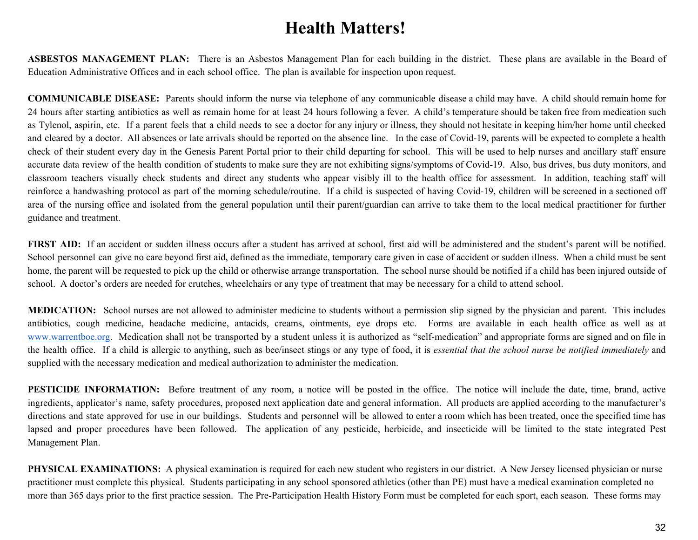# **Health Matters!**

**ASBESTOS MANAGEMENT PLAN:** There is an Asbestos Management Plan for each building in the district. These plans are available in the Board of Education Administrative Offices and in each school office. The plan is available for inspection upon request.

**COMMUNICABLE DISEASE:** Parents should inform the nurse via telephone of any communicable disease a child may have. A child should remain home for 24 hours after starting antibiotics as well as remain home for at least 24 hours following a fever. A child's temperature should be taken free from medication such as Tylenol, aspirin, etc. If a parent feels that a child needs to see a doctor for any injury or illness, they should not hesitate in keeping him/her home until checked and cleared by a doctor. All absences or late arrivals should be reported on the absence line. In the case of Covid-19, parents will be expected to complete a health check of their student every day in the Genesis Parent Portal prior to their child departing for school. This will be used to help nurses and ancillary staff ensure accurate data review of the health condition of students to make sure they are not exhibiting signs/symptoms of Covid-19. Also, bus drives, bus duty monitors, and classroom teachers visually check students and direct any students who appear visibly ill to the health office for assessment. In addition, teaching staff will reinforce a handwashing protocol as part of the morning schedule/routine. If a child is suspected of having Covid-19, children will be screened in a sectioned off area of the nursing office and isolated from the general population until their parent/guardian can arrive to take them to the local medical practitioner for further guidance and treatment.

FIRST AID: If an accident or sudden illness occurs after a student has arrived at school, first aid will be administered and the student's parent will be notified. School personnel can give no care beyond first aid, defined as the immediate, temporary care given in case of accident or sudden illness. When a child must be sent home, the parent will be requested to pick up the child or otherwise arrange transportation. The school nurse should be notified if a child has been injured outside of school. A doctor's orders are needed for crutches, wheelchairs or any type of treatment that may be necessary for a child to attend school.

**MEDICATION:** School nurses are not allowed to administer medicine to students without a permission slip signed by the physician and parent. This includes antibiotics, cough medicine, headache medicine, antacids, creams, ointments, eye drops etc. Forms are available in each health office as well as a[t](http://www.warrentboe.org/) [www.warrentboe.org.](http://www.warrentboe.org/) Medication shall not be transported by a student unless it is authorized as "self-medication" and appropriate forms are signed and on file in the health office. If a child is allergic to anything, such as bee/insect stings or any type of food, it is *essential that the school nurse be notified immediately* and supplied with the necessary medication and medical authorization to administer the medication.

**PESTICIDE INFORMATION:** Before treatment of any room, a notice will be posted in the office. The notice will include the date, time, brand, active ingredients, applicator's name, safety procedures, proposed next application date and general information. All products are applied according to the manufacturer's directions and state approved for use in our buildings. Students and personnel will be allowed to enter a room which has been treated, once the specified time has lapsed and proper procedures have been followed. The application of any pesticide, herbicide, and insecticide will be limited to the state integrated Pest Management Plan.

**PHYSICAL EXAMINATIONS:** A physical examination is required for each new student who registers in our district. A New Jersey licensed physician or nurse practitioner must complete this physical. Students participating in any school sponsored athletics (other than PE) must have a medical examination completed no more than 365 days prior to the first practice session. The Pre-Participation Health History Form must be completed for each sport, each season. These forms may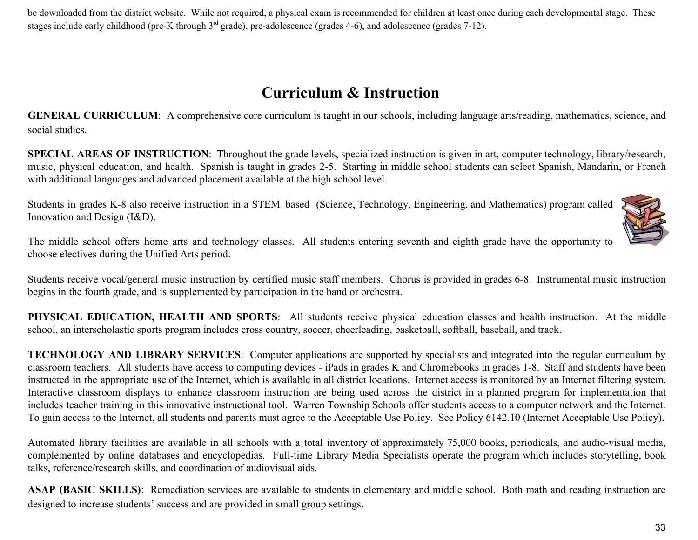be downloaded from the district website. While not required, a physical exam is recommended for children at least once during each developmental stage. These stages include early childhood (pre-K through  $3<sup>rd</sup>$  grade), pre-adolescence (grades 4-6), and adolescence (grades 7-12).

# **Curriculum & Instruction**

**GENERAL CURRICULUM**: A comprehensive core curriculum is taught in our schools, including language arts/reading, mathematics, science, and social studies.

**SPECIAL AREAS OF INSTRUCTION**: Throughout the grade levels, specialized instruction is given in art, computer technology, library/research, music, physical education, and health. Spanish is taught in grades 2-5. Starting in middle school students can select Spanish, Mandarin, or French with additional languages and advanced placement available at the high school level.

Students in grades K-8 also receive instruction in a STEM–based (Science, Technology, Engineering, and Mathematics) program called Innovation and Design (I&D).



The middle school offers home arts and technology classes. All students entering seventh and eighth grade have the opportunity to choose electives during the Unified Arts period.

Students receive vocal/general music instruction by certified music staff members. Chorus is provided in grades 6-8. Instrumental music instruction begins in the fourth grade, and is supplemented by participation in the band or orchestra.

**PHYSICAL EDUCATION, HEALTH AND SPORTS**: All students receive physical education classes and health instruction. At the middle school, an interscholastic sports program includes cross country, soccer, cheerleading, basketball, softball, baseball, and track.

**TECHNOLOGY AND LIBRARY SERVICES**: Computer applications are supported by specialists and integrated into the regular curriculum by classroom teachers. All students have access to computing devices - iPads in grades K and Chromebooks in grades 1-8. Staff and students have been instructed in the appropriate use of the Internet, which is available in all district locations. Internet access is monitored by an Internet filtering system. Interactive classroom displays to enhance classroom instruction are being used across the district in a planned program for implementation that includes teacher training in this innovative instructional tool. Warren Township Schools offer students access to a computer network and the Internet. To gain access to the Internet, all students and parents must agree to the Acceptable Use Policy. See Policy 6142.10 (Internet Acceptable Use Policy).

Automated library facilities are available in all schools with a total inventory of approximately 75,000 books, periodicals, and audio-visual media, complemented by online databases and encyclopedias. Full-time Library Media Specialists operate the program which includes storytelling, book talks, reference/research skills, and coordination of audiovisual aids.

**ASAP (BASIC SKILLS)**: Remediation services are available to students in elementary and middle school. Both math and reading instruction are designed to increase students' success and are provided in small group settings.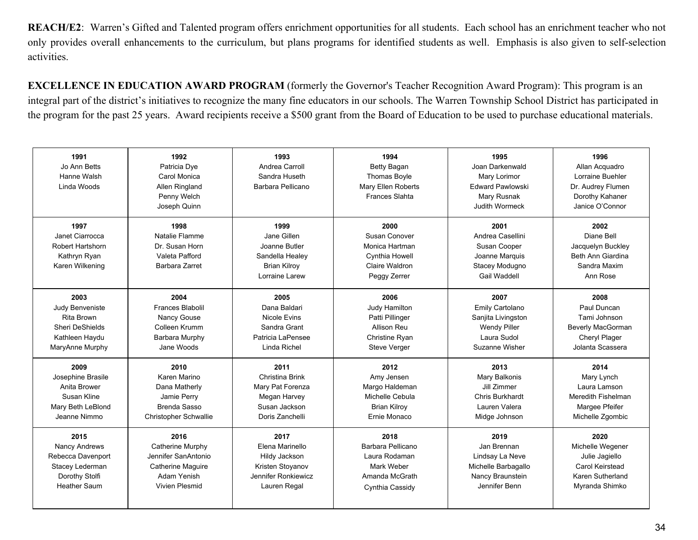**REACH/E2**: Warren's Gifted and Talented program offers enrichment opportunities for all students. Each school has an enrichment teacher who not only provides overall enhancements to the curriculum, but plans programs for identified students as well. Emphasis is also given to self-selection activities.

**EXCELLENCE IN EDUCATION AWARD PROGRAM** (formerly the Governor's Teacher Recognition Award Program): This program is an integral part of the district's initiatives to recognize the many fine educators in our schools. The Warren Township School District has participated in the program for the past 25 years. Award recipients receive a \$500 grant from the Board of Education to be used to purchase educational materials.

| 1991<br>Jo Ann Betts<br>Hanne Walsh<br>Linda Woods                             | 1992<br>Patricia Dye<br>Carol Monica<br>Allen Ringland<br>Penny Welch<br>Joseph Quinn | 1993<br>Andrea Carroll<br>Sandra Huseth<br>Barbara Pellicano                                     | 1994<br>Betty Bagan<br><b>Thomas Boyle</b><br>Mary Ellen Roberts<br><b>Frances Slahta</b>   | 1995<br>Joan Darkenwald<br>Mary Lorimor<br>Edward Pawlowski<br>Mary Rusnak<br><b>Judith Wormeck</b> | 1996<br>Allan Acquadro<br>Lorraine Buehler<br>Dr. Audrey Flumen<br>Dorothy Kahaner<br>Janice O'Connor |
|--------------------------------------------------------------------------------|---------------------------------------------------------------------------------------|--------------------------------------------------------------------------------------------------|---------------------------------------------------------------------------------------------|-----------------------------------------------------------------------------------------------------|-------------------------------------------------------------------------------------------------------|
| 1997<br>Janet Ciarrocca<br>Robert Hartshorn<br>Kathryn Ryan<br>Karen Wilkening | 1998<br>Natalie Flamme<br>Dr. Susan Horn<br>Valeta Pafford<br>Barbara Zarret          | 1999<br>Jane Gillen<br>Joanne Butler<br>Sandella Healey<br><b>Brian Kilrov</b><br>Lorraine Larew | 2000<br>Susan Conover<br>Monica Hartman<br>Cynthia Howell<br>Claire Waldron<br>Peggy Zerrer | 2001<br>Andrea Casellini<br>Susan Cooper<br>Joanne Marquis<br>Stacey Modugno<br>Gail Waddell        | 2002<br>Diane Bell<br>Jacquelyn Buckley<br>Beth Ann Giardina<br>Sandra Maxim<br>Ann Rose              |
| 2003                                                                           | 2004                                                                                  | 2005                                                                                             | 2006                                                                                        | 2007                                                                                                | 2008                                                                                                  |
| Judy Benveniste                                                                | <b>Frances Blabolil</b>                                                               | Dana Baldari                                                                                     | Judy Hamilton                                                                               | Emily Cartolano                                                                                     | Paul Duncan                                                                                           |
| Rita Brown                                                                     | Nancy Gouse                                                                           | Nicole Evins                                                                                     | Patti Pillinger                                                                             | Sanjita Livingston                                                                                  | Tami Johnson                                                                                          |
| Sheri DeShields                                                                | Colleen Krumm                                                                         | Sandra Grant                                                                                     | Allison Reu                                                                                 | <b>Wendy Piller</b>                                                                                 | Beverly MacGorman                                                                                     |
| Kathleen Haydu                                                                 | Barbara Murphy                                                                        | Patricia LaPensee                                                                                | Christine Ryan                                                                              | Laura Sudol                                                                                         | Cheryl Plager                                                                                         |
| MaryAnne Murphy                                                                | Jane Woods                                                                            | Linda Richel                                                                                     | <b>Steve Verger</b>                                                                         | Suzanne Wisher                                                                                      | Jolanta Scassera                                                                                      |
| 2009                                                                           | 2010                                                                                  | 2011                                                                                             | 2012                                                                                        | 2013                                                                                                | 2014                                                                                                  |
| Josephine Brasile                                                              | Karen Marino                                                                          | Christina Brink                                                                                  | Amy Jensen                                                                                  | Mary Balkonis                                                                                       | Mary Lynch                                                                                            |
| Anita Brower                                                                   | Dana Matherly                                                                         | Mary Pat Forenza                                                                                 | Margo Haldeman                                                                              | Jill Zimmer                                                                                         | Laura Lamson                                                                                          |
| Susan Kline                                                                    | Jamie Perry                                                                           | Megan Harvey                                                                                     | Michelle Cebula                                                                             | Chris Burkhardt                                                                                     | Meredith Fishelman                                                                                    |
| Mary Beth LeBlond                                                              | Brenda Sasso                                                                          | Susan Jackson                                                                                    | <b>Brian Kilroy</b>                                                                         | Lauren Valera                                                                                       | Margee Pfeifer                                                                                        |
| Jeanne Nimmo                                                                   | <b>Christopher Schwallie</b>                                                          | Doris Zanchelli                                                                                  | Ernie Monaco                                                                                | Midge Johnson                                                                                       | Michelle Zgombic                                                                                      |
| 2015                                                                           | 2016                                                                                  | 2017                                                                                             | 2018                                                                                        | 2019                                                                                                | 2020                                                                                                  |
| Nancy Andrews                                                                  | Catherine Murphy                                                                      | Elena Marinello                                                                                  | Barbara Pellicano                                                                           | Jan Brennan                                                                                         | Michelle Wegener                                                                                      |
| Rebecca Davenport                                                              | Jennifer SanAntonio                                                                   | Hildy Jackson                                                                                    | Laura Rodaman                                                                               | Lindsay La Neve                                                                                     | Julie Jagiello                                                                                        |
| Stacey Lederman                                                                | <b>Catherine Maguire</b>                                                              | Kristen Stovanov                                                                                 | Mark Weber                                                                                  | Michelle Barbagallo                                                                                 | Carol Keirstead                                                                                       |
| Dorothy Stolfi                                                                 | Adam Yenish                                                                           | Jennifer Ronkiewicz                                                                              | Amanda McGrath                                                                              | Nancy Braunstein                                                                                    | Karen Sutherland                                                                                      |
| <b>Heather Saum</b>                                                            | Vivien Plesmid                                                                        | Lauren Regal                                                                                     | Cynthia Cassidy                                                                             | Jennifer Benn                                                                                       | Myranda Shimko                                                                                        |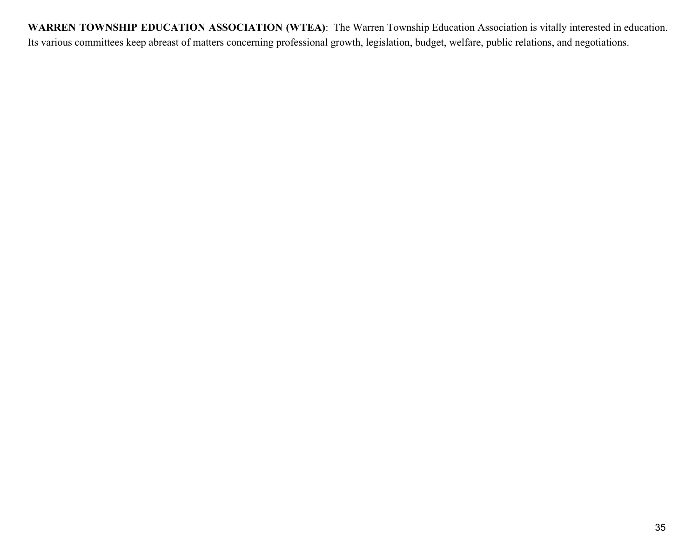**WARREN TOWNSHIP EDUCATION ASSOCIATION (WTEA)**: The Warren Township Education Association is vitally interested in education. Its various committees keep abreast of matters concerning professional growth, legislation, budget, welfare, public relations, and negotiations.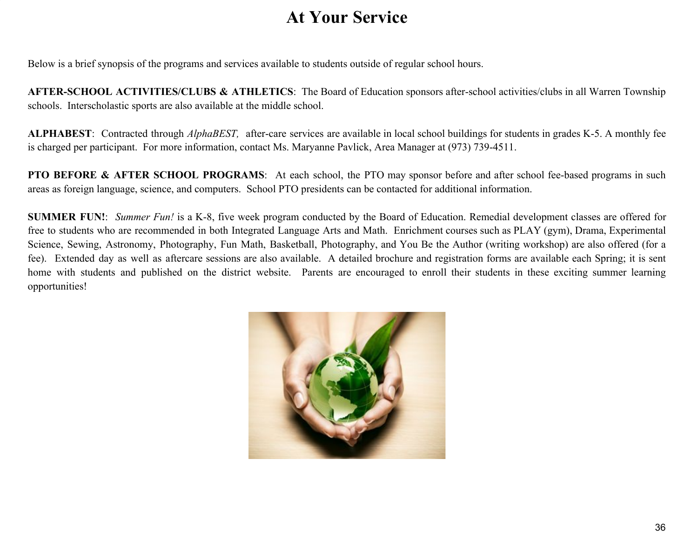# **At Your Service**

Below is a brief synopsis of the programs and services available to students outside of regular school hours.

**AFTER-SCHOOL ACTIVITIES/CLUBS & ATHLETICS**: The Board of Education sponsors after-school activities/clubs in all Warren Township schools. Interscholastic sports are also available at the middle school.

**ALPHABEST**: Contracted through *AlphaBEST,* after-care services are available in local school buildings for students in grades K-5. A monthly fee is charged per participant. For more information, contact Ms. Maryanne Pavlick, Area Manager at (973) 739-4511.

**PTO BEFORE & AFTER SCHOOL PROGRAMS**: At each school, the PTO may sponsor before and after school fee-based programs in such areas as foreign language, science, and computers. School PTO presidents can be contacted for additional information.

**SUMMER FUN!**: *Summer Fun!* is a K-8, five week program conducted by the Board of Education. Remedial development classes are offered for free to students who are recommended in both Integrated Language Arts and Math. Enrichment courses such as PLAY (gym), Drama, Experimental Science, Sewing, Astronomy, Photography, Fun Math, Basketball, Photography, and You Be the Author (writing workshop) are also offered (for a fee). Extended day as well as aftercare sessions are also available. A detailed brochure and registration forms are available each Spring; it is sent home with students and published on the district website. Parents are encouraged to enroll their students in these exciting summer learning opportunities!

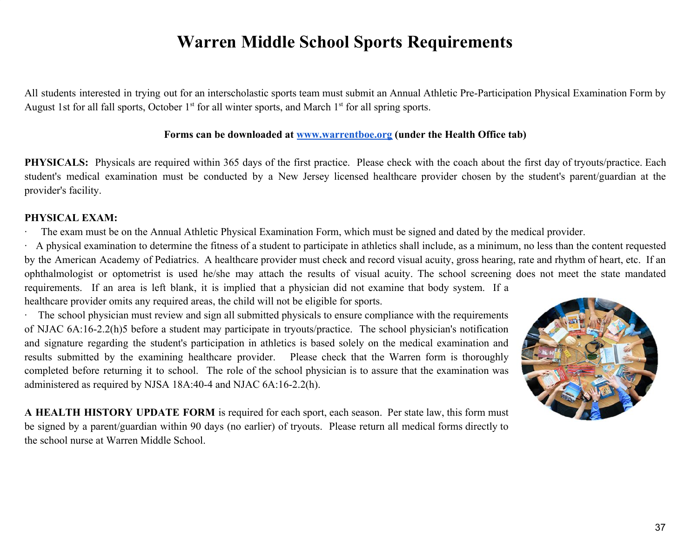# **Warren Middle School Sports Requirements**

All students interested in trying out for an interscholastic sports team must submit an Annual Athletic Pre-Participation Physical Examination Form by August 1st for all fall sports, October  $1<sup>st</sup>$  for all winter sports, and March  $1<sup>st</sup>$  for all spring sports.

#### **Forms can be downloaded a[t](http://www.warrentboe.org/) [www.warrentboe.org](http://www.warrentboe.org/) (under the Health Office tab)**

**PHYSICALS:** Physicals are required within 365 days of the first practice. Please check with the coach about the first day of tryouts/practice. Each student's medical examination must be conducted by a New Jersey licensed healthcare provider chosen by the student's parent/guardian at the provider's facility.

## **PHYSICAL EXAM:**

The exam must be on the Annual Athletic Physical Examination Form, which must be signed and dated by the medical provider.

· A physical examination to determine the fitness of a student to participate in athletics shall include, as a minimum, no less than the content requested by the American Academy of Pediatrics. A healthcare provider must check and record visual acuity, gross hearing, rate and rhythm of heart, etc. If an ophthalmologist or optometrist is used he/she may attach the results of visual acuity. The school screening does not meet the state mandated requirements. If an area is left blank, it is implied that a physician did not examine that body system. If a healthcare provider omits any required areas, the child will not be eligible for sports.

· The school physician must review and sign all submitted physicals to ensure compliance with the requirements of NJAC 6A:16-2.2(h)5 before a student may participate in tryouts/practice. The school physician's notification and signature regarding the student's participation in athletics is based solely on the medical examination and results submitted by the examining healthcare provider. Please check that the Warren form is thoroughly completed before returning it to school. The role of the school physician is to assure that the examination was administered as required by NJSA 18A:40-4 and NJAC 6A:16-2.2(h).

**A HEALTH HISTORY UPDATE FORM** is required for each sport, each season. Per state law, this form must be signed by a parent/guardian within 90 days (no earlier) of tryouts. Please return all medical forms directly to the school nurse at Warren Middle School.

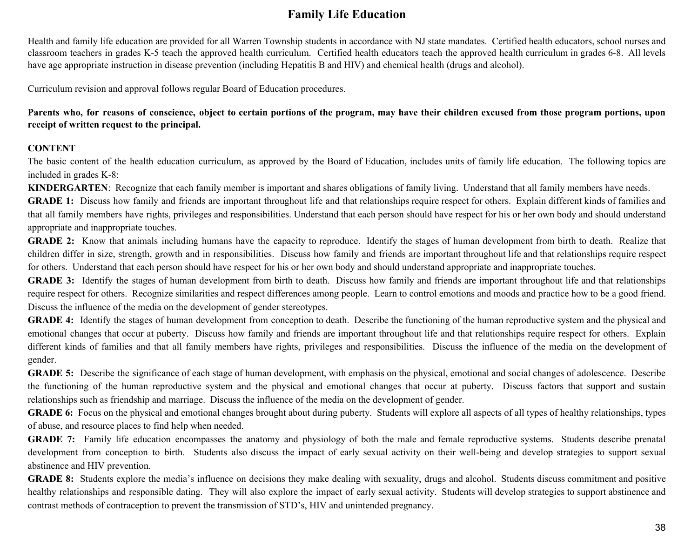# **Family Life Education**

Health and family life education are provided for all Warren Township students in accordance with NJ state mandates. Certified health educators, school nurses and classroom teachers in grades K-5 teach the approved health curriculum. Certified health educators teach the approved health curriculum in grades 6-8. All levels have age appropriate instruction in disease prevention (including Hepatitis B and HIV) and chemical health (drugs and alcohol).

Curriculum revision and approval follows regular Board of Education procedures.

Parents who, for reasons of conscience, object to certain portions of the program, may have their children excused from those program portions, upon **receipt of written request to the principal.**

#### **CONTENT**

The basic content of the health education curriculum, as approved by the Board of Education, includes units of family life education. The following topics are included in grades K-8:

**KINDERGARTEN**: Recognize that each family member is important and shares obligations of family living. Understand that all family members have needs.

**GRADE 1:** Discuss how family and friends are important throughout life and that relationships require respect for others. Explain different kinds of families and that all family members have rights, privileges and responsibilities. Understand that each person should have respect for his or her own body and should understand appropriate and inappropriate touches.

**GRADE 2:** Know that animals including humans have the capacity to reproduce. Identify the stages of human development from birth to death. Realize that children differ in size, strength, growth and in responsibilities. Discuss how family and friends are important throughout life and that relationships require respect for others. Understand that each person should have respect for his or her own body and should understand appropriate and inappropriate touches.

**GRADE 3:** Identify the stages of human development from birth to death. Discuss how family and friends are important throughout life and that relationships require respect for others. Recognize similarities and respect differences among people. Learn to control emotions and moods and practice how to be a good friend. Discuss the influence of the media on the development of gender stereotypes.

**GRADE 4:** Identify the stages of human development from conception to death. Describe the functioning of the human reproductive system and the physical and emotional changes that occur at puberty. Discuss how family and friends are important throughout life and that relationships require respect for others. Explain different kinds of families and that all family members have rights, privileges and responsibilities. Discuss the influence of the media on the development of gender.

**GRADE 5:** Describe the significance of each stage of human development, with emphasis on the physical, emotional and social changes of adolescence. Describe the functioning of the human reproductive system and the physical and emotional changes that occur at puberty. Discuss factors that support and sustain relationships such as friendship and marriage. Discuss the influence of the media on the development of gender.

**GRADE 6:** Focus on the physical and emotional changes brought about during puberty. Students will explore all aspects of all types of healthy relationships, types of abuse, and resource places to find help when needed.

**GRADE 7:** Family life education encompasses the anatomy and physiology of both the male and female reproductive systems. Students describe prenatal development from conception to birth. Students also discuss the impact of early sexual activity on their well-being and develop strategies to support sexual abstinence and HIV prevention.

**GRADE 8:** Students explore the media's influence on decisions they make dealing with sexuality, drugs and alcohol. Students discuss commitment and positive healthy relationships and responsible dating. They will also explore the impact of early sexual activity. Students will develop strategies to support abstinence and contrast methods of contraception to prevent the transmission of STD's, HIV and unintended pregnancy.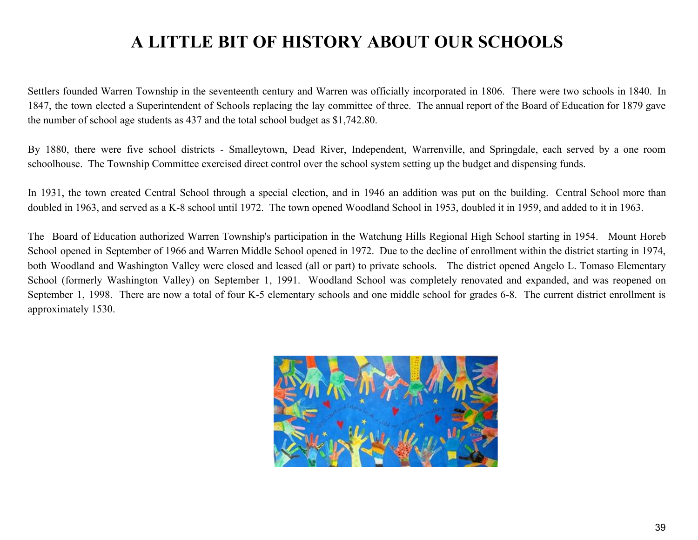# **A LITTLE BIT OF HISTORY ABOUT OUR SCHOOLS**

Settlers founded Warren Township in the seventeenth century and Warren was officially incorporated in 1806. There were two schools in 1840. In 1847, the town elected a Superintendent of Schools replacing the lay committee of three. The annual report of the Board of Education for 1879 gave the number of school age students as 437 and the total school budget as \$1,742.80.

By 1880, there were five school districts - Smalleytown, Dead River, Independent, Warrenville, and Springdale, each served by a one room schoolhouse. The Township Committee exercised direct control over the school system setting up the budget and dispensing funds.

In 1931, the town created Central School through a special election, and in 1946 an addition was put on the building. Central School more than doubled in 1963, and served as a K-8 school until 1972. The town opened Woodland School in 1953, doubled it in 1959, and added to it in 1963.

The Board of Education authorized Warren Township's participation in the Watchung Hills Regional High School starting in 1954. Mount Horeb School opened in September of 1966 and Warren Middle School opened in 1972. Due to the decline of enrollment within the district starting in 1974, both Woodland and Washington Valley were closed and leased (all or part) to private schools. The district opened Angelo L. Tomaso Elementary School (formerly Washington Valley) on September 1, 1991. Woodland School was completely renovated and expanded, and was reopened on September 1, 1998. There are now a total of four K-5 elementary schools and one middle school for grades 6-8. The current district enrollment is approximately 1530.

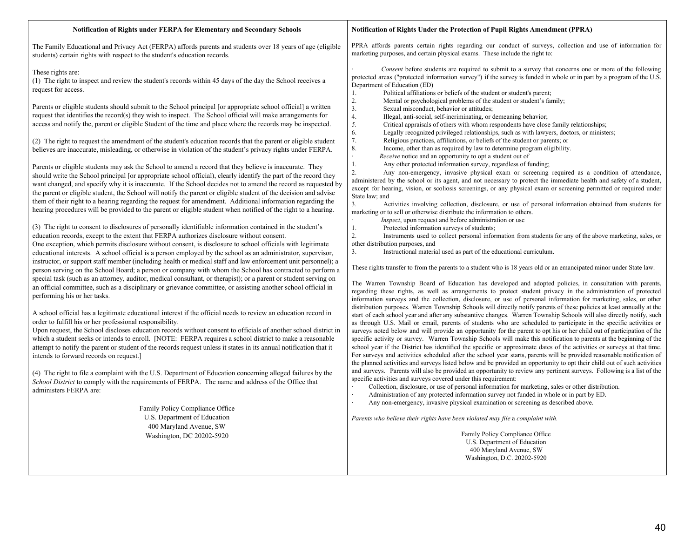#### **Notification of Rights under FERPA for Elementary and Secondary Schools**

#### **Notification of Rights Under the Protection of Pupil Rights Amendment (PPRA)**

The Family Educational and Privacy Act (FERPA) affords parents and students over 18 years of age (eligible students) certain rights with respect to the student's education records.

#### These rights are:

(1) The right to inspect and review the student's records within 45 days of the day the School receives a request for access.

Parents or eligible students should submit to the School principal [or appropriate school official] a written request that identifies the record(s) they wish to inspect. The School official will make arrangements for access and notify the, parent or eligible Student of the time and place where the records may be inspected.

(2) The right to request the amendment of the student's education records that the parent or eligible student believes are inaccurate, misleading, or otherwise in violation of the student's privacy rights under FERPA.

Parents or eligible students may ask the School to amend a record that they believe is inaccurate. They should write the School principal [or appropriate school official), clearly identify the part of the record they want changed, and specify why it is inaccurate. If the School decides not to amend the record as requested by the parent or eligible student, the School will notify the parent or eligible student of the decision and advise them of their right to a hearing regarding the request for amendment. Additional information regarding the hearing procedures will be provided to the parent or eligible student when notified of the right to a hearing.

(3) The right to consent to disclosures of personally identifiable information contained in the student's education records, except to the extent that FERPA authorizes disclosure without consent.

One exception, which permits disclosure without consent, is disclosure to school officials with legitimate educational interests. A school official is a person employed by the school as an administrator, supervisor, instructor, or support staff member (including health or medical staff and law enforcement unit personnel); a person serving on the School Board; a person or company with whom the School has contracted to perform a special task (such as an attorney, auditor, medical consultant, or therapist); or a parent or student serving on an official committee, such as a disciplinary or grievance committee, or assisting another school official in performing his or her tasks.

A school official has a legitimate educational interest if the official needs to review an education record in order to fulfill his or her professional responsibility.

Upon request, the School discloses education records without consent to officials of another school district in which a student seeks or intends to enroll. [NOTE: FERPA requires a school district to make a reasonable attempt to notify the parent or student of the records request unless it states in its annual notification that it intends to forward records on request.]

(4) The right to file a complaint with the U.S. Department of Education concerning alleged failures by the *School District* to comply with the requirements of FERPA. The name and address of the Office that administers FERPA are:

> Family Policy Compliance Office U.S. Department of Education 400 Maryland Avenue, SW Washington, DC 20202-5920

PPRA affords parents certain rights regarding our conduct of surveys, collection and use of information for marketing purposes, and certain physical exams. These include the right to:

Consent before students are required to submit to a survey that concerns one or more of the following protected areas ("protected information survey") if the survey is funded in whole or in part by a program of the U.S. Department of Education (ED)

- 
- 1. Political affiliations or beliefs of the student or student's parent;<br>2. Mental or psychological problems of the student or student's far<br>3. Sexual misconduct, behavior or attitudes; Mental or psychological problems of the student or student's family;
- 3. Sexual misconduct, behavior or attitudes;<br>4. Illegal, anti-social, self-incriminating, or c
- 4. Illegal, anti-social, self-incriminating, or demeaning behavior;<br>5. Critical appraisals of others with whom respondents have close
- *5.* Critical appraisals of others with whom respondents have close family relationships;<br>6. Legally recognized privileged relationships, such as with lawyers, doctors, or minist
- 6. Legally recognized privileged relationships, such as with lawyers, doctors, or ministers;
- 7. Religious practices, affiliations, or beliefs of the student or parents; or
- 8. Income, other than as required by law to determine program eligibility.<br>Receive notice and an opportunity to opt a student out of
- *Receive* notice and an opportunity to opt a student out of 1. Any other protected information survey, regardless of fu
	- Any other protected information survey, regardless of funding;

2. Any non-emergency, invasive physical exam or screening required as a condition of attendance, administered by the school or its agent, and not necessary to protect the immediate health and safety of a student, except for hearing, vision, or scoliosis screenings, or any physical exam or screening permitted or required under State law; and

3. Activities involving collection, disclosure, or use of personal information obtained from students for marketing or to sell or otherwise distribute the information to others.

- *Inspect*, upon request and before administration or use 1. Protected information surveys of students:
	- Protected information surveys of students:

2. Instruments used to collect personal information from students for any of the above marketing, sales, or other distribution purposes, and

3. Instructional material used as part of the educational curriculum.

These rights transfer to from the parents to a student who is 18 years old or an emancipated minor under State law.

The Warren Township Board of Education has developed and adopted policies, in consultation with parents, regarding these rights, as well as arrangements to protect student privacy in the administration of protected information surveys and the collection, disclosure, or use of personal information for marketing, sales, or other distribution purposes. Warren Township Schools will directly notify parents of these policies at least annually at the start of each school year and after any substantive changes. Warren Township Schools will also directly notify, such as through U.S. Mail or email, parents of students who are scheduled to participate in the specific activities or surveys noted below and will provide an opportunity for the parent to opt his or her child out of participation of the specific activity or survey. Warren Township Schools will make this notification to parents at the beginning of the school year if the District has identified the specific or approximate dates of the activities or surveys at that time. For surveys and activities scheduled after the school year starts, parents will be provided reasonable notification of the planned activities and surveys listed below and be provided an opportunity to opt their child out of such activities and surveys. Parents will also be provided an opportunity to review any pertinent surveys. Following is a list of the specific activities and surveys covered under this requirement:

- · Collection, disclosure, or use of personal information for marketing, sales or other distribution.
- · Administration of any protected information survey not funded in whole or in part by ED.
- Any non-emergency, invasive physical examination or screening as described above.

*Parents who believe their rights have been violated may file* a *complaint with.*

Family Policy Compliance Office U.S. Department of Education 400 Maryland Avenue, SW Washington, D.C. 20202-5920